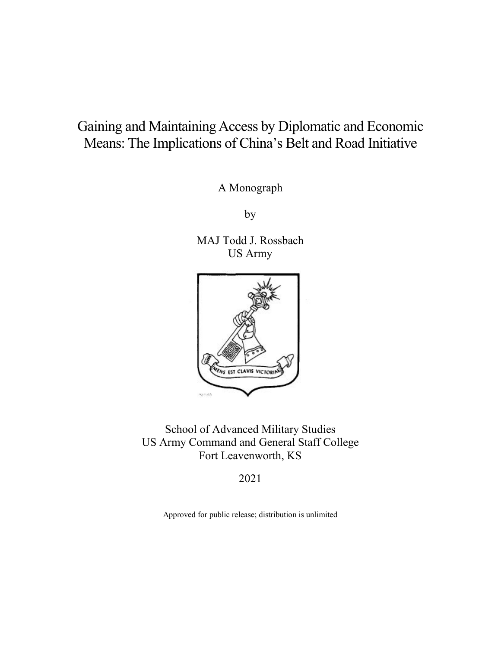# Gaining and Maintaining Access by Diplomatic and Economic Means: The Implications of China's Belt and Road Initiative

A Monograph

by

MAJ Todd J. Rossbach US Army



School of Advanced Military Studies US Army Command and General Staff College Fort Leavenworth, KS

2021

Approved for public release; distribution is unlimited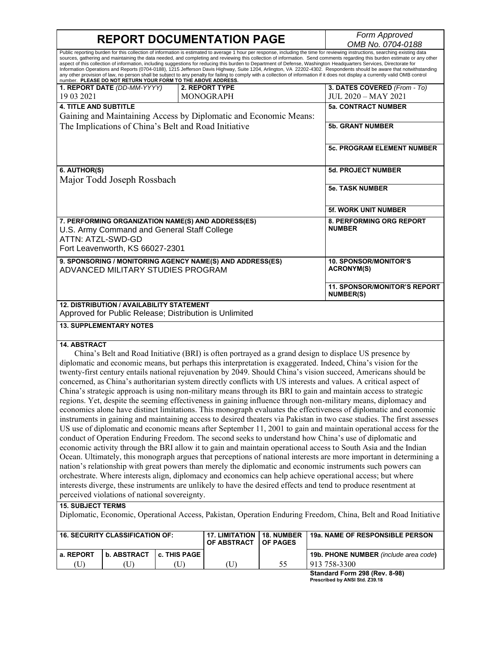**REPORT DOCUMENTATION PAGE** *Form Approved OMB No. 0704-0188* Public reporting burden for this collection of information is estimated to average 1 hour per response, including the time for reviewing instructions, searching existing data sources, gathering and maintaining the data needed, and completing and reviewing this collection of information. Send comments regarding this burden estimate or any other aspect of this collection of information, including suggestions for reducing this burden to Department of Defense, Washington Headquarters Services, Directorate for<br>Information Operations and Reports (0704-0188), 1215 Jeff any other provision of law, no person shall be subject to any penalty for failing to comply with a collection of information if it does not display a currently valid OMB control<br>number. **PLEASE DO NOT RETURN YOUR FORM TO 1. REPORT DATE** *(DD-MM-YYYY)* 19 03 2021 **2. REPORT TYPE** MONOGRAPH **3. DATES COVERED** *(From - To)* JUL 2020 – MAY 2021 **4. TITLE AND SUBTITLE** Gaining and Maintaining Access by Diplomatic and Economic Means: The Implications of China's Belt and Road Initiative **5a. CONTRACT NUMBER 5b. GRANT NUMBER 5c. PROGRAM ELEMENT NUMBER 6. AUTHOR(S)** Major Todd Joseph Rossbach **5d. PROJECT NUMBER 5e. TASK NUMBER 5f. WORK UNIT NUMBER 7. PERFORMING ORGANIZATION NAME(S) AND ADDRESS(ES)** U.S. Army Command and General Staff College ATTN: ATZL-SWD-GD Fort Leavenworth, KS 66027-2301 **8. PERFORMING ORG REPORT NUMBER 9. SPONSORING / MONITORING AGENCY NAME(S) AND ADDRESS(ES)** ADVANCED MILITARY STUDIES PROGRAM **10. SPONSOR/MONITOR'S ACRONYM(S) 11. SPONSOR/MONITOR'S REPORT NUMBER(S) 12. DISTRIBUTION / AVAILABILITY STATEMENT** Approved for Public Release; Distribution is Unlimited **13. SUPPLEMENTARY NOTES 14. ABSTRACT** China's Belt and Road Initiative (BRI) is often portrayed as a grand design to displace US presence by diplomatic and economic means, but perhaps this interpretation is exaggerated. Indeed, China's vision for the twenty-first century entails national rejuvenation by 2049. Should China's vision succeed, Americans should be concerned, as China's authoritarian system directly conflicts with US interests and values. A critical aspect of China's strategic approach is using non-military means through its BRI to gain and maintain access to strategic regions. Yet, despite the seeming effectiveness in gaining influence through non-military means, diplomacy and economics alone have distinct limitations. This monograph evaluates the effectiveness of diplomatic and economic instruments in gaining and maintaining access to desired theaters via Pakistan in two case studies. The first assesses US use of diplomatic and economic means after September 11, 2001 to gain and maintain operational access for the conduct of Operation Enduring Freedom. The second seeks to understand how China's use of diplomatic and economic activity through the BRI allow it to gain and maintain operational access to South Asia and the Indian

Ocean. Ultimately, this monograph argues that perceptions of national interests are more important in determining a nation's relationship with great powers than merely the diplomatic and economic instruments such powers can orchestrate. Where interests align, diplomacy and economics can help achieve operational access; but where interests diverge, these instruments are unlikely to have the desired effects and tend to produce resentment at perceived violations of national sovereignty.

#### **15. SUBJECT TERMS**

Diplomatic, Economic, Operational Access, Pakistan, Operation Enduring Freedom, China, Belt and Road Initiative

| I 16. SECURITY CLASSIFICATION OF: |             |                     | <b>17. LIMITATION</b><br><b>OF ABSTRACT</b> | 18. NUMBER<br>l OF PAGES | <b>19a. NAME OF RESPONSIBLE PERSON</b>       |
|-----------------------------------|-------------|---------------------|---------------------------------------------|--------------------------|----------------------------------------------|
| l a. REPORT                       | b. ABSTRACT | <b>c. THIS PAGE</b> |                                             |                          | <b>19b. PHONE NUMBER</b> (include area code) |
| U                                 |             |                     | (U)                                         | 55                       | 913 758-3300                                 |
|                                   |             |                     |                                             |                          | Chanderd Ferm 200 (Dev. 8.08)                |

**Standard Form 298 (Rev. 8-98) Prescribed by ANSI Std. Z39.18**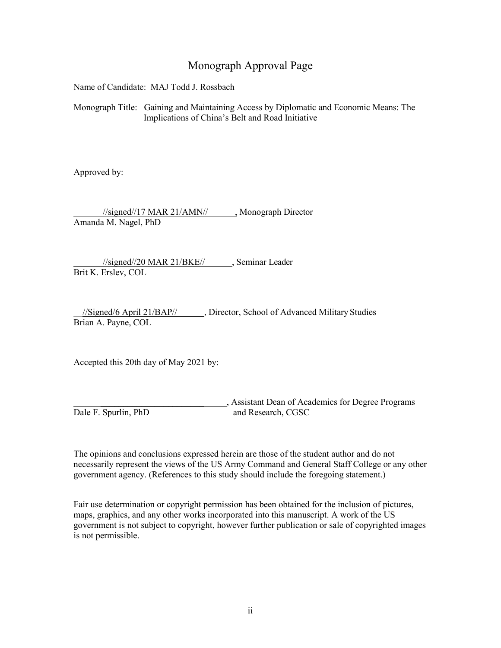## Monograph Approval Page

Name of Candidate: MAJ Todd J. Rossbach

Monograph Title: Gaining and Maintaining Access by Diplomatic and Economic Means: The Implications of China's Belt and Road Initiative

Approved by:

 //signed//17 MAR 21/AMN// , Monograph Director Amanda M. Nagel, PhD

 //signed//20 MAR 21/BKE// , Seminar Leader Brit K. Erslev, COL

\_\_//Signed/6 April 21/BAP// , Director, School of Advanced Military Studies Brian A. Payne, COL

Accepted this 20th day of May 2021 by:

 \_\_\_\_\_\_\_\_\_\_\_\_\_\_\_\_\_\_\_\_\_\_\_ , Assistant Dean of Academics for Degree Programs Dale F. Spurlin, PhD and Research, CGSC

The opinions and conclusions expressed herein are those of the student author and do not necessarily represent the views of the US Army Command and General Staff College or any other government agency. (References to this study should include the foregoing statement.)

Fair use determination or copyright permission has been obtained for the inclusion of pictures, maps, graphics, and any other works incorporated into this manuscript. A work of the US government is not subject to copyright, however further publication or sale of copyrighted images is not permissible.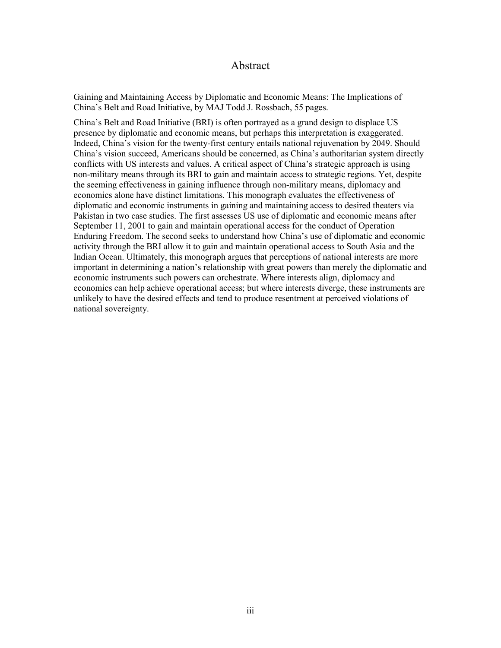#### Abstract

Gaining and Maintaining Access by Diplomatic and Economic Means: The Implications of China's Belt and Road Initiative, by MAJ Todd J. Rossbach, 55 pages.

China's Belt and Road Initiative (BRI) is often portrayed as a grand design to displace US presence by diplomatic and economic means, but perhaps this interpretation is exaggerated. Indeed, China's vision for the twenty-first century entails national rejuvenation by 2049. Should China's vision succeed, Americans should be concerned, as China's authoritarian system directly conflicts with US interests and values. A critical aspect of China's strategic approach is using non-military means through its BRI to gain and maintain access to strategic regions. Yet, despite the seeming effectiveness in gaining influence through non-military means, diplomacy and economics alone have distinct limitations. This monograph evaluates the effectiveness of diplomatic and economic instruments in gaining and maintaining access to desired theaters via Pakistan in two case studies. The first assesses US use of diplomatic and economic means after September 11, 2001 to gain and maintain operational access for the conduct of Operation Enduring Freedom. The second seeks to understand how China's use of diplomatic and economic activity through the BRI allow it to gain and maintain operational access to South Asia and the Indian Ocean. Ultimately, this monograph argues that perceptions of national interests are more important in determining a nation's relationship with great powers than merely the diplomatic and economic instruments such powers can orchestrate. Where interests align, diplomacy and economics can help achieve operational access; but where interests diverge, these instruments are unlikely to have the desired effects and tend to produce resentment at perceived violations of national sovereignty.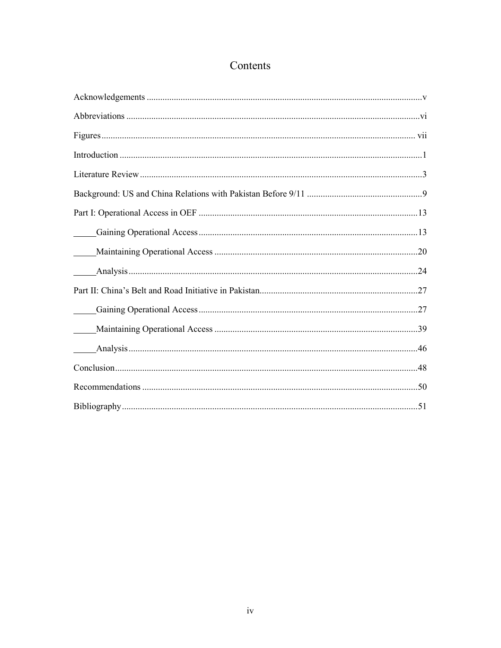# Contents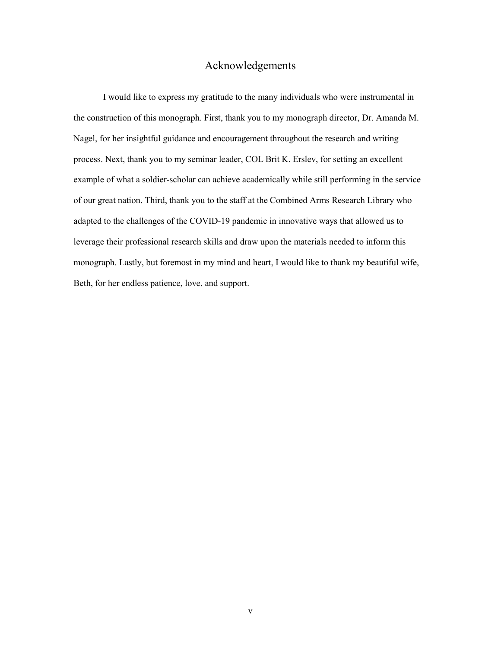## Acknowledgements

<span id="page-5-0"></span>I would like to express my gratitude to the many individuals who were instrumental in the construction of this monograph. First, thank you to my monograph director, Dr. Amanda M. Nagel, for her insightful guidance and encouragement throughout the research and writing process. Next, thank you to my seminar leader, COL Brit K. Erslev, for setting an excellent example of what a soldier-scholar can achieve academically while still performing in the service of our great nation. Third, thank you to the staff at the Combined Arms Research Library who adapted to the challenges of the COVID-19 pandemic in innovative ways that allowed us to leverage their professional research skills and draw upon the materials needed to inform this monograph. Lastly, but foremost in my mind and heart, I would like to thank my beautiful wife, Beth, for her endless patience, love, and support.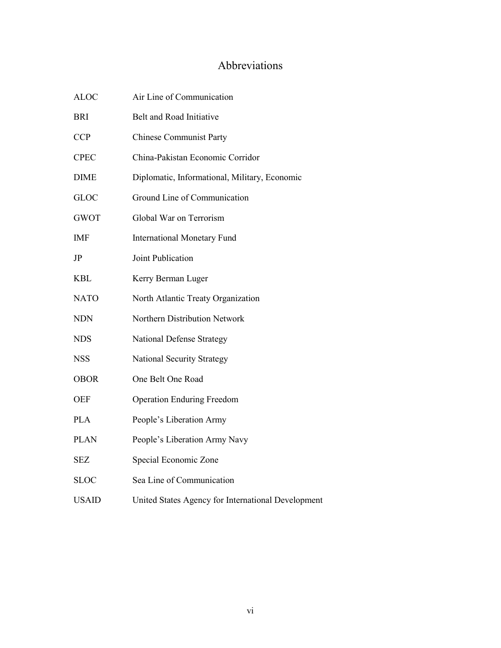## Abbreviations

<span id="page-6-0"></span>

| <b>ALOC</b> | Air Line of Communication                          |
|-------------|----------------------------------------------------|
| <b>BRI</b>  | Belt and Road Initiative                           |
| <b>CCP</b>  | <b>Chinese Communist Party</b>                     |
| <b>CPEC</b> | China-Pakistan Economic Corridor                   |
| <b>DIME</b> | Diplomatic, Informational, Military, Economic      |
| <b>GLOC</b> | Ground Line of Communication                       |
| <b>GWOT</b> | Global War on Terrorism                            |
| <b>IMF</b>  | <b>International Monetary Fund</b>                 |
| JP          | Joint Publication                                  |
| <b>KBL</b>  | Kerry Berman Luger                                 |
| <b>NATO</b> | North Atlantic Treaty Organization                 |
| <b>NDN</b>  | Northern Distribution Network                      |
| <b>NDS</b>  | <b>National Defense Strategy</b>                   |
| <b>NSS</b>  | National Security Strategy                         |
| <b>OBOR</b> | One Belt One Road                                  |
| <b>OEF</b>  | <b>Operation Enduring Freedom</b>                  |
| <b>PLA</b>  | People's Liberation Army                           |
| <b>PLAN</b> | People's Liberation Army Navy                      |
| <b>SEZ</b>  | Special Economic Zone                              |
| <b>SLOC</b> | Sea Line of Communication                          |
| USAID       | United States Agency for International Development |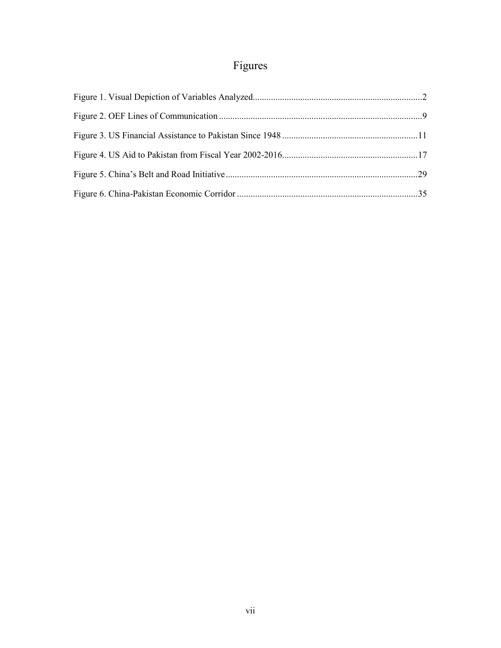# Figures

<span id="page-7-0"></span>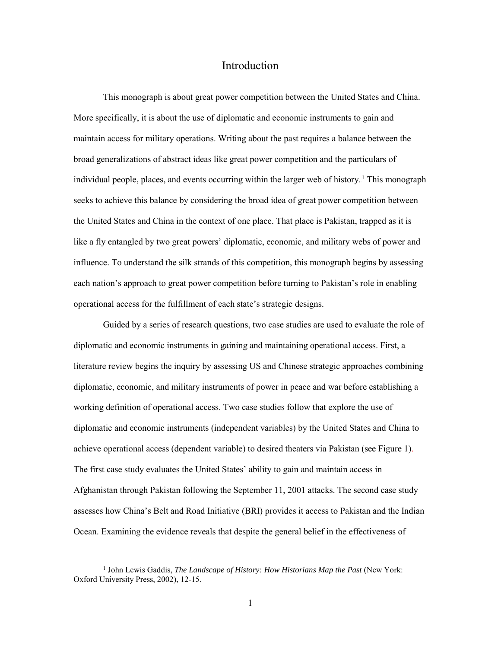## Introduction

<span id="page-8-0"></span>This monograph is about great power competition between the United States and China. More specifically, it is about the use of diplomatic and economic instruments to gain and maintain access for military operations. Writing about the past requires a balance between the broad generalizations of abstract ideas like great power competition and the particulars of individual people, places, and events occurring within the larger web of history.<sup>1</sup> This monograph seeks to achieve this balance by considering the broad idea of great power competition between the United States and China in the context of one place. That place is Pakistan, trapped as it is like a fly entangled by two great powers' diplomatic, economic, and military webs of power and influence. To understand the silk strands of this competition, this monograph begins by assessing each nation's approach to great power competition before turning to Pakistan's role in enabling operational access for the fulfillment of each state's strategic designs.

Guided by a series of research questions, two case studies are used to evaluate the role of diplomatic and economic instruments in gaining and maintaining operational access. First, a literature review begins the inquiry by assessing US and Chinese strategic approaches combining diplomatic, economic, and military instruments of power in peace and war before establishing a working definition of operational access. Two case studies follow that explore the use of diplomatic and economic instruments (independent variables) by the United States and China to achieve operational access (dependent variable) to desired theaters via Pakistan (see Figure 1). The first case study evaluates the United States' ability to gain and maintain access in Afghanistan through Pakistan following the September 11, 2001 attacks. The second case study assesses how China's Belt and Road Initiative (BRI) provides it access to Pakistan and the Indian Ocean. Examining the evidence reveals that despite the general belief in the effectiveness of

<sup>1</sup> John Lewis Gaddis, *The Landscape of History: How Historians Map the Past* (New York: Oxford University Press, 2002), 12-15.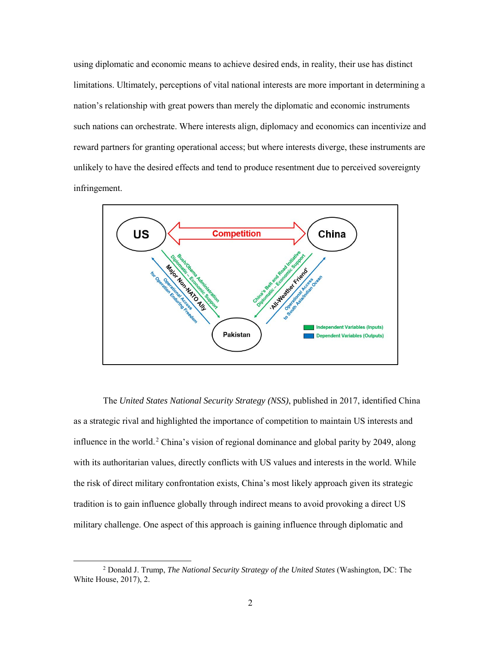using diplomatic and economic means to achieve desired ends, in reality, their use has distinct limitations. Ultimately, perceptions of vital national interests are more important in determining a nation's relationship with great powers than merely the diplomatic and economic instruments such nations can orchestrate. Where interests align, diplomacy and economics can incentivize and reward partners for granting operational access; but where interests diverge, these instruments are unlikely to have the desired effects and tend to produce resentment due to perceived sovereignty infringement.



The *United States National Security Strategy (NSS)*, published in 2017, identified China as a strategic rival and highlighted the importance of competition to maintain US interests and influence in the world.<sup>2</sup> China's vision of regional dominance and global parity by 2049, along with its authoritarian values, directly conflicts with US values and interests in the world. While the risk of direct military confrontation exists, China's most likely approach given its strategic tradition is to gain influence globally through indirect means to avoid provoking a direct US military challenge. One aspect of this approach is gaining influence through diplomatic and

<sup>2</sup> Donald J. Trump, *The National Security Strategy of the United States* (Washington, DC: The White House, 2017), 2.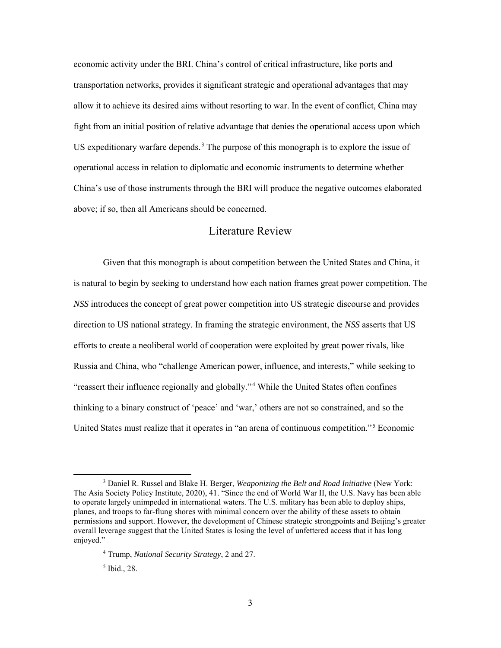economic activity under the BRI. China's control of critical infrastructure, like ports and transportation networks, provides it significant strategic and operational advantages that may allow it to achieve its desired aims without resorting to war. In the event of conflict, China may fight from an initial position of relative advantage that denies the operational access upon which US expeditionary warfare depends.<sup>3</sup> The purpose of this monograph is to explore the issue of operational access in relation to diplomatic and economic instruments to determine whether China's use of those instruments through the BRI will produce the negative outcomes elaborated above; if so, then all Americans should be concerned.

## Literature Review

<span id="page-10-0"></span>Given that this monograph is about competition between the United States and China, it is natural to begin by seeking to understand how each nation frames great power competition. The *NSS* introduces the concept of great power competition into US strategic discourse and provides direction to US national strategy. In framing the strategic environment, the *NSS* asserts that US efforts to create a neoliberal world of cooperation were exploited by great power rivals, like Russia and China, who "challenge American power, influence, and interests," while seeking to "reassert their influence regionally and globally."<sup>4</sup> While the United States often confines thinking to a binary construct of 'peace' and 'war,' others are not so constrained, and so the United States must realize that it operates in "an arena of continuous competition."<sup>5</sup> Economic

<sup>3</sup> Daniel R. Russel and Blake H. Berger, *Weaponizing the Belt and Road Initiative* (New York: The Asia Society Policy Institute, 2020), 41. "Since the end of World War II, the U.S. Navy has been able to operate largely unimpeded in international waters. The U.S. military has been able to deploy ships, planes, and troops to far-flung shores with minimal concern over the ability of these assets to obtain permissions and support. However, the development of Chinese strategic strongpoints and Beijing's greater overall leverage suggest that the United States is losing the level of unfettered access that it has long enjoyed."

<sup>4</sup> Trump, *National Security Strategy*, 2 and 27.

<sup>5</sup> Ibid., 28.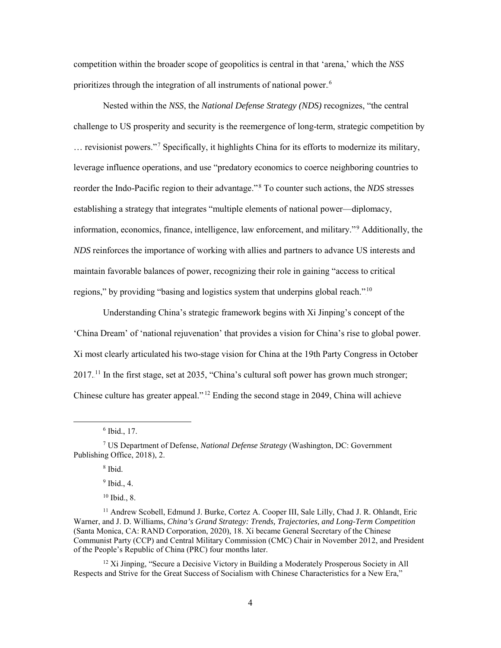competition within the broader scope of geopolitics is central in that 'arena,' which the *NSS* prioritizes through the integration of all instruments of national power.<sup>6</sup>

Nested within the *NSS*, the *National Defense Strategy (NDS)* recognizes, "the central challenge to US prosperity and security is the reemergence of long-term, strategic competition by ... revisionist powers."<sup>7</sup> Specifically, it highlights China for its efforts to modernize its military, leverage influence operations, and use "predatory economics to coerce neighboring countries to reorder the Indo-Pacific region to their advantage."<sup>8</sup> To counter such actions, the *NDS* stresses establishing a strategy that integrates "multiple elements of national power—diplomacy, information, economics, finance, intelligence, law enforcement, and military."<sup>9</sup> Additionally, the *NDS* reinforces the importance of working with allies and partners to advance US interests and maintain favorable balances of power, recognizing their role in gaining "access to critical regions," by providing "basing and logistics system that underpins global reach."<sup>10</sup>

Understanding China's strategic framework begins with Xi Jinping's concept of the 'China Dream' of 'national rejuvenation' that provides a vision for China's rise to global power. Xi most clearly articulated his two-stage vision for China at the 19th Party Congress in October  $2017$ .<sup>11</sup> In the first stage, set at 2035, "China's cultural soft power has grown much stronger; Chinese culture has greater appeal."<sup>12</sup> Ending the second stage in 2049, China will achieve

l

<sup>8</sup> Ibid.

 $9$  Ibid., 4.

<sup>10</sup> Ibid., 8.

<sup>12</sup> Xi Jinping, "Secure a Decisive Victory in Building a Moderately Prosperous Society in All Respects and Strive for the Great Success of Socialism with Chinese Characteristics for a New Era,"

 $6$  Ibid., 17.

<sup>7</sup> US Department of Defense, *National Defense Strategy* (Washington, DC: Government Publishing Office, 2018), 2.

<sup>&</sup>lt;sup>11</sup> Andrew Scobell, Edmund J. Burke, Cortez A. Cooper III, Sale Lilly, Chad J. R. Ohlandt, Eric Warner, and J. D. Williams, *China's Grand Strategy: Trends, Trajectories, and Long-Term Competition*  (Santa Monica, CA: RAND Corporation, 2020), 18. Xi became General Secretary of the Chinese Communist Party (CCP) and Central Military Commission (CMC) Chair in November 2012, and President of the People's Republic of China (PRC) four months later.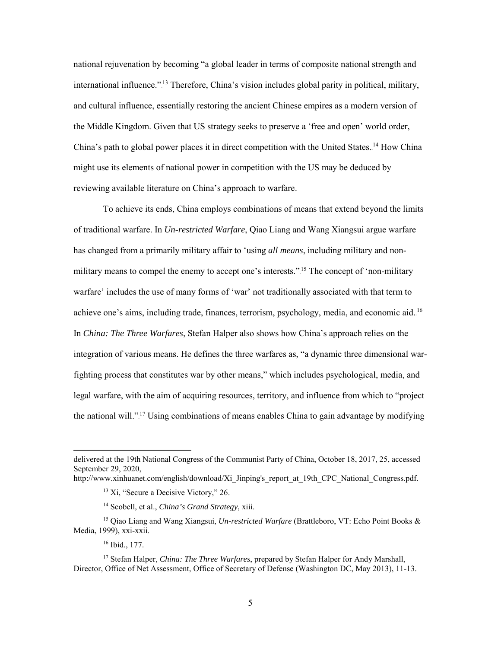national rejuvenation by becoming "a global leader in terms of composite national strength and international influence."<sup>13</sup> Therefore, China's vision includes global parity in political, military, and cultural influence, essentially restoring the ancient Chinese empires as a modern version of the Middle Kingdom. Given that US strategy seeks to preserve a 'free and open' world order, China's path to global power places it in direct competition with the United States.<sup>14</sup> How China might use its elements of national power in competition with the US may be deduced by reviewing available literature on China's approach to warfare.

To achieve its ends, China employs combinations of means that extend beyond the limits of traditional warfare. In *Un-restricted Warfare*, Qiao Liang and Wang Xiangsui argue warfare has changed from a primarily military affair to 'using *all means*, including military and nonmilitary means to compel the enemy to accept one's interests."<sup>15</sup> The concept of 'non-military warfare' includes the use of many forms of 'war' not traditionally associated with that term to achieve one's aims, including trade, finances, terrorism, psychology, media, and economic aid.<sup>16</sup> In *China: The Three Warfares*, Stefan Halper also shows how China's approach relies on the integration of various means. He defines the three warfares as, "a dynamic three dimensional warfighting process that constitutes war by other means," which includes psychological, media, and legal warfare, with the aim of acquiring resources, territory, and influence from which to "project the national will."<sup>17</sup> Using combinations of means enables China to gain advantage by modifying

http://www.xinhuanet.com/english/download/Xi\_Jinping's\_report\_at\_19th\_CPC\_National\_Congress.pdf.

delivered at the 19th National Congress of the Communist Party of China, October 18, 2017, 25, accessed September 29, 2020,

<sup>&</sup>lt;sup>13</sup> Xi, "Secure a Decisive Victory," 26.

<sup>14</sup> Scobell, et al., *China's Grand Strategy*, xiii.

<sup>15</sup> Qiao Liang and Wang Xiangsui, *Un-restricted Warfare* (Brattleboro, VT: Echo Point Books & Media, 1999), xxi-xxii.

<sup>16</sup> Ibid., 177.

<sup>17</sup> Stefan Halper, *China: The Three Warfares*, prepared by Stefan Halper for Andy Marshall, Director, Office of Net Assessment, Office of Secretary of Defense (Washington DC, May 2013), 11-13.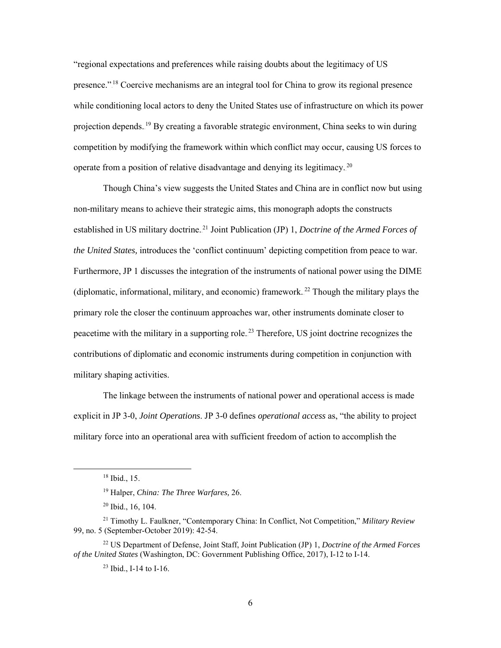"regional expectations and preferences while raising doubts about the legitimacy of US presence."<sup>18</sup> Coercive mechanisms are an integral tool for China to grow its regional presence while conditioning local actors to deny the United States use of infrastructure on which its power projection depends.<sup>19</sup> By creating a favorable strategic environment, China seeks to win during competition by modifying the framework within which conflict may occur, causing US forces to operate from a position of relative disadvantage and denying its legitimacy.<sup>20</sup>

Though China's view suggests the United States and China are in conflict now but using non-military means to achieve their strategic aims, this monograph adopts the constructs established in US military doctrine.<sup>21</sup> Joint Publication (JP) 1, *Doctrine of the Armed Forces of the United States,* introduces the 'conflict continuum' depicting competition from peace to war. Furthermore, JP 1 discusses the integration of the instruments of national power using the DIME (diplomatic, informational, military, and economic) framework.<sup>22</sup> Though the military plays the primary role the closer the continuum approaches war, other instruments dominate closer to peacetime with the military in a supporting role.<sup>23</sup> Therefore, US joint doctrine recognizes the contributions of diplomatic and economic instruments during competition in conjunction with military shaping activities.

The linkage between the instruments of national power and operational access is made explicit in JP 3-0, *Joint Operations*. JP 3-0 defines *operational access* as, "the ability to project military force into an operational area with sufficient freedom of action to accomplish the

 $\overline{a}$ 

<sup>18</sup> Ibid., 15.

<sup>19</sup> Halper, *China: The Three Warfares,* 26.

<sup>20</sup> Ibid., 16, 104.

<sup>21</sup> Timothy L. Faulkner, "Contemporary China: In Conflict, Not Competition," *Military Review* 99, no. 5 (September-October 2019): 42-54.

<sup>22</sup> US Department of Defense, Joint Staff, Joint Publication (JP) 1, *Doctrine of the Armed Forces of the United States* (Washington, DC: Government Publishing Office, 2017), I-12 to I-14.

<sup>&</sup>lt;sup>23</sup> Ibid., I-14 to I-16.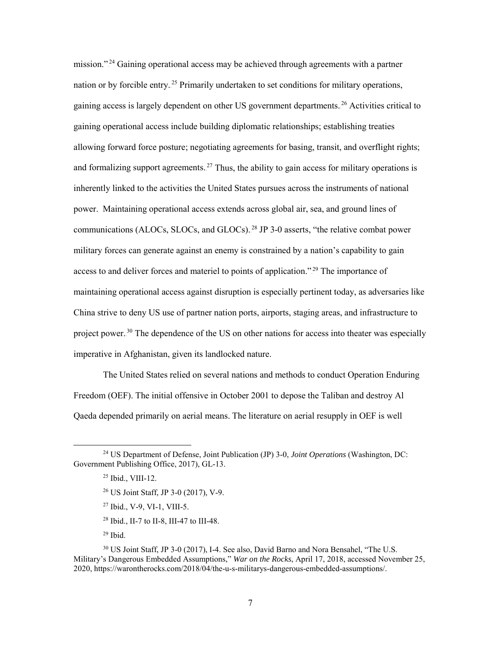mission."<sup>24</sup> Gaining operational access may be achieved through agreements with a partner nation or by forcible entry.<sup>25</sup> Primarily undertaken to set conditions for military operations, gaining access is largely dependent on other US government departments.<sup>26</sup> Activities critical to gaining operational access include building diplomatic relationships; establishing treaties allowing forward force posture; negotiating agreements for basing, transit, and overflight rights; and formalizing support agreements.<sup>27</sup> Thus, the ability to gain access for military operations is inherently linked to the activities the United States pursues across the instruments of national power. Maintaining operational access extends across global air, sea, and ground lines of communications (ALOCs, SLOCs, and GLOCs).<sup>28</sup> JP 3-0 asserts, "the relative combat power military forces can generate against an enemy is constrained by a nation's capability to gain access to and deliver forces and materiel to points of application."<sup>29</sup> The importance of maintaining operational access against disruption is especially pertinent today, as adversaries like China strive to deny US use of partner nation ports, airports, staging areas, and infrastructure to project power.<sup>30</sup> The dependence of the US on other nations for access into theater was especially imperative in Afghanistan, given its landlocked nature.

The United States relied on several nations and methods to conduct Operation Enduring Freedom (OEF). The initial offensive in October 2001 to depose the Taliban and destroy Al Qaeda depended primarily on aerial means. The literature on aerial resupply in OEF is well

- <sup>26</sup> US Joint Staff, JP 3-0 (2017), V-9.
- <sup>27</sup> Ibid., V-9, VI-1, VIII-5.
- <sup>28</sup> Ibid., II-7 to II-8, III-47 to III-48.

<sup>29</sup> Ibid.

<sup>24</sup> US Department of Defense, Joint Publication (JP) 3-0, *Joint Operations* (Washington, DC: Government Publishing Office, 2017), GL-13.

<sup>25</sup> Ibid., VIII-12.

<sup>30</sup> US Joint Staff, JP 3-0 (2017), I-4. See also, David Barno and Nora Bensahel, "The U.S. Military's Dangerous Embedded Assumptions," *War on the Rocks*, April 17, 2018, accessed November 25, 2020, https://warontherocks.com/2018/04/the-u-s-militarys-dangerous-embedded-assumptions/.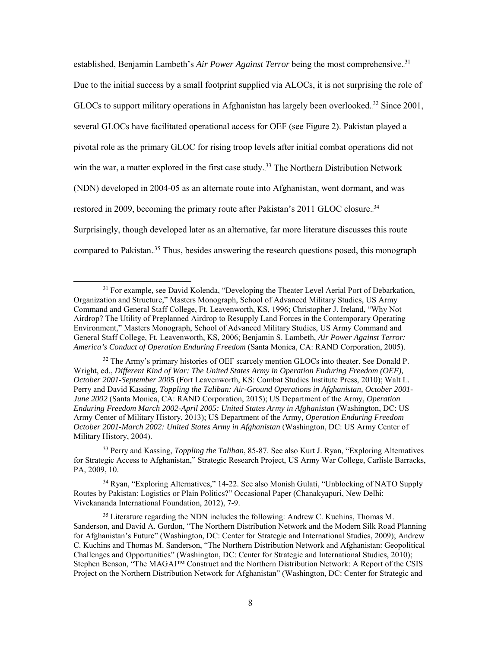established, Benjamin Lambeth's *Air Power Against Terror* being the most comprehensive.<sup>31</sup> Due to the initial success by a small footprint supplied via ALOCs, it is not surprising the role of GLOCs to support military operations in Afghanistan has largely been overlooked.<sup>32</sup> Since 2001, several GLOCs have facilitated operational access for OEF (see Figure 2). Pakistan played a pivotal role as the primary GLOC for rising troop levels after initial combat operations did not win the war, a matter explored in the first case study.<sup>33</sup> The Northern Distribution Network (NDN) developed in 2004-05 as an alternate route into Afghanistan, went dormant, and was restored in 2009, becoming the primary route after Pakistan's 2011 GLOC closure.<sup>34</sup> Surprisingly, though developed later as an alternative, far more literature discusses this route compared to Pakistan.<sup>35</sup> Thus, besides answering the research questions posed, this monograph

 $\overline{\phantom{a}}$ 

<sup>34</sup> Ryan, "Exploring Alternatives," 14-22. See also Monish Gulati, "Unblocking of NATO Supply Routes by Pakistan: Logistics or Plain Politics?" Occasional Paper (Chanakyapuri, New Delhi: Vivekananda International Foundation, 2012), 7-9.

<sup>&</sup>lt;sup>31</sup> For example, see David Kolenda, "Developing the Theater Level Aerial Port of Debarkation, Organization and Structure," Masters Monograph, School of Advanced Military Studies, US Army Command and General Staff College, Ft. Leavenworth, KS, 1996; Christopher J. Ireland, "Why Not Airdrop? The Utility of Preplanned Airdrop to Resupply Land Forces in the Contemporary Operating Environment," Masters Monograph, School of Advanced Military Studies, US Army Command and General Staff College, Ft. Leavenworth, KS, 2006; Benjamin S. Lambeth, *Air Power Against Terror: America's Conduct of Operation Enduring Freedom* (Santa Monica, CA: RAND Corporation, 2005).

<sup>&</sup>lt;sup>32</sup> The Army's primary histories of OEF scarcely mention GLOCs into theater. See Donald P. Wright, ed., *Different Kind of War: The United States Army in Operation Enduring Freedom (OEF), October 2001-September 2005* (Fort Leavenworth, KS: Combat Studies Institute Press, 2010); Walt L. Perry and David Kassing, *Toppling the Taliban: Air-Ground Operations in Afghanistan, October 2001- June 2002* (Santa Monica, CA: RAND Corporation, 2015); US Department of the Army, *Operation Enduring Freedom March 2002-April 2005: United States Army in Afghanistan* (Washington, DC: US Army Center of Military History, 2013); US Department of the Army, *Operation Enduring Freedom October 2001-March 2002: United States Army in Afghanistan* (Washington, DC: US Army Center of Military History, 2004).

<sup>33</sup> Perry and Kassing, *Toppling the Taliban*, 85-87. See also Kurt J. Ryan, "Exploring Alternatives for Strategic Access to Afghanistan," Strategic Research Project, US Army War College, Carlisle Barracks, PA, 2009, 10.

<sup>&</sup>lt;sup>35</sup> Literature regarding the NDN includes the following: Andrew C. Kuchins, Thomas M. Sanderson, and David A. Gordon, "The Northern Distribution Network and the Modern Silk Road Planning for Afghanistan's Future" (Washington, DC: Center for Strategic and International Studies, 2009); Andrew C. Kuchins and Thomas M. Sanderson, "The Northern Distribution Network and Afghanistan: Geopolitical Challenges and Opportunities" (Washington, DC: Center for Strategic and International Studies, 2010); Stephen Benson, "The MAGAI™ Construct and the Northern Distribution Network: A Report of the CSIS Project on the Northern Distribution Network for Afghanistan" (Washington, DC: Center for Strategic and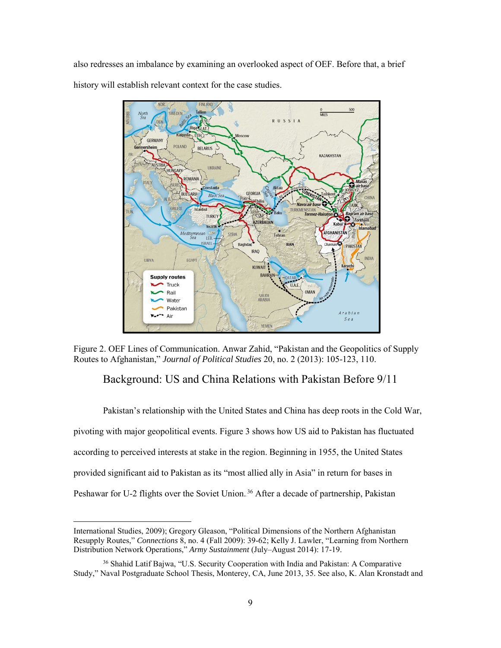also redresses an imbalance by examining an overlooked aspect of OEF. Before that, a brief history will establish relevant context for the case studies.



<span id="page-16-0"></span>Figure 2. OEF Lines of Communication. Anwar Zahid, "Pakistan and the Geopolitics of Supply Routes to Afghanistan," *Journal of Political Studies* 20, no. 2 (2013): 105-123, 110.

## Background: US and China Relations with Pakistan Before 9/11

Pakistan's relationship with the United States and China has deep roots in the Cold War, pivoting with major geopolitical events. Figure 3 shows how US aid to Pakistan has fluctuated according to perceived interests at stake in the region. Beginning in 1955, the United States provided significant aid to Pakistan as its "most allied ally in Asia" in return for bases in Peshawar for U-2 flights over the Soviet Union.<sup>36</sup> After a decade of partnership, Pakistan

International Studies, 2009); Gregory Gleason, "Political Dimensions of the Northern Afghanistan Resupply Routes," *Connections* 8, no. 4 (Fall 2009): 39-62; Kelly J. Lawler, "Learning from Northern Distribution Network Operations," *Army Sustainment* (July–August 2014): 17-19.

<sup>36</sup> Shahid Latif Bajwa, "U.S. Security Cooperation with India and Pakistan: A Comparative Study," Naval Postgraduate School Thesis, Monterey, CA, June 2013, 35. See also, K. Alan Kronstadt and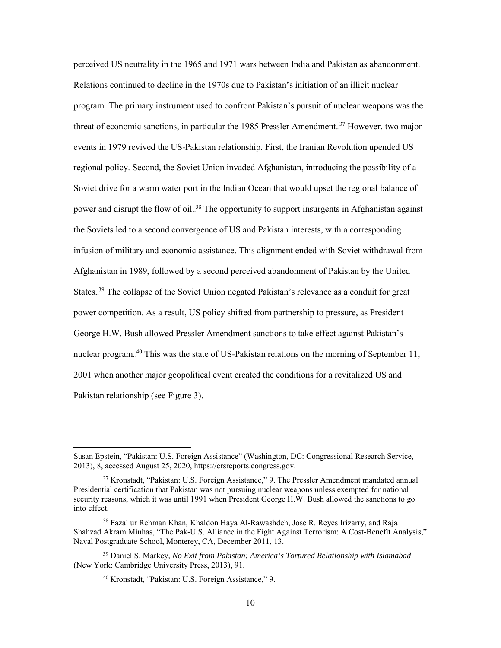perceived US neutrality in the 1965 and 1971 wars between India and Pakistan as abandonment. Relations continued to decline in the 1970s due to Pakistan's initiation of an illicit nuclear program. The primary instrument used to confront Pakistan's pursuit of nuclear weapons was the threat of economic sanctions, in particular the 1985 Pressler Amendment.<sup>37</sup> However, two major events in 1979 revived the US-Pakistan relationship. First, the Iranian Revolution upended US regional policy. Second, the Soviet Union invaded Afghanistan, introducing the possibility of a Soviet drive for a warm water port in the Indian Ocean that would upset the regional balance of power and disrupt the flow of oil.<sup>38</sup> The opportunity to support insurgents in Afghanistan against the Soviets led to a second convergence of US and Pakistan interests, with a corresponding infusion of military and economic assistance. This alignment ended with Soviet withdrawal from Afghanistan in 1989, followed by a second perceived abandonment of Pakistan by the United States.<sup>39</sup> The collapse of the Soviet Union negated Pakistan's relevance as a conduit for great power competition. As a result, US policy shifted from partnership to pressure, as President George H.W. Bush allowed Pressler Amendment sanctions to take effect against Pakistan's nuclear program.<sup>40</sup> This was the state of US-Pakistan relations on the morning of September 11, 2001 when another major geopolitical event created the conditions for a revitalized US and Pakistan relationship (see Figure 3).

 $\overline{a}$ 

Susan Epstein, "Pakistan: U.S. Foreign Assistance" (Washington, DC: Congressional Research Service, 2013), 8, accessed August 25, 2020, https://crsreports.congress.gov.

<sup>37</sup> Kronstadt, "Pakistan: U.S. Foreign Assistance," 9. The Pressler Amendment mandated annual Presidential certification that Pakistan was not pursuing nuclear weapons unless exempted for national security reasons, which it was until 1991 when President George H.W. Bush allowed the sanctions to go into effect.

<sup>&</sup>lt;sup>38</sup> Fazal ur Rehman Khan, Khaldon Haya Al-Rawashdeh, Jose R. Reyes Irizarry, and Raja Shahzad Akram Minhas, "The Pak-U.S. Alliance in the Fight Against Terrorism: A Cost-Benefit Analysis," Naval Postgraduate School, Monterey, CA, December 2011, 13.

<sup>39</sup> Daniel S. Markey, *No Exit from Pakistan: America's Tortured Relationship with Islamabad* (New York: Cambridge University Press, 2013), 91.

<sup>40</sup> Kronstadt, "Pakistan: U.S. Foreign Assistance," 9.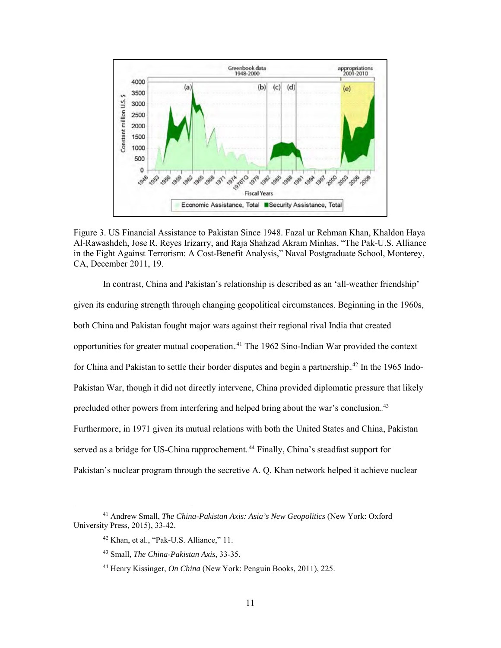

Figure 3. US Financial Assistance to Pakistan Since 1948. Fazal ur Rehman Khan, Khaldon Haya Al-Rawashdeh, Jose R. Reyes Irizarry, and Raja Shahzad Akram Minhas, "The Pak-U.S. Alliance in the Fight Against Terrorism: A Cost-Benefit Analysis," Naval Postgraduate School, Monterey, CA, December 2011, 19.

In contrast, China and Pakistan's relationship is described as an 'all-weather friendship' given its enduring strength through changing geopolitical circumstances. Beginning in the 1960s, both China and Pakistan fought major wars against their regional rival India that created opportunities for greater mutual cooperation.<sup>41</sup> The 1962 Sino-Indian War provided the context for China and Pakistan to settle their border disputes and begin a partnership. <sup>42</sup> In the 1965 Indo-Pakistan War, though it did not directly intervene, China provided diplomatic pressure that likely precluded other powers from interfering and helped bring about the war's conclusion.<sup>43</sup> Furthermore, in 1971 given its mutual relations with both the United States and China, Pakistan served as a bridge for US-China rapprochement.<sup>44</sup> Finally, China's steadfast support for Pakistan's nuclear program through the secretive A. Q. Khan network helped it achieve nuclear

<sup>41</sup> Andrew Small, *The China-Pakistan Axis: Asia's New Geopolitics* (New York: Oxford University Press, 2015), 33-42.

<sup>42</sup> Khan, et al., "Pak-U.S. Alliance," 11.

<sup>43</sup> Small, *The China-Pakistan Axis*, 33-35.

<sup>44</sup> Henry Kissinger, *On China* (New York: Penguin Books, 2011), 225.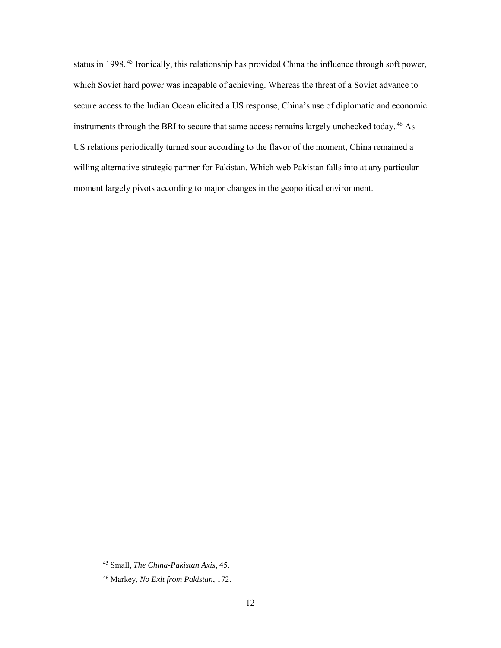status in 1998.<sup>45</sup> Ironically, this relationship has provided China the influence through soft power, which Soviet hard power was incapable of achieving. Whereas the threat of a Soviet advance to secure access to the Indian Ocean elicited a US response, China's use of diplomatic and economic instruments through the BRI to secure that same access remains largely unchecked today.<sup>46</sup> As US relations periodically turned sour according to the flavor of the moment, China remained a willing alternative strategic partner for Pakistan. Which web Pakistan falls into at any particular moment largely pivots according to major changes in the geopolitical environment.

<sup>45</sup> Small, *The China-Pakistan Axis*, 45.

<sup>46</sup> Markey, *No Exit from Pakistan*, 172.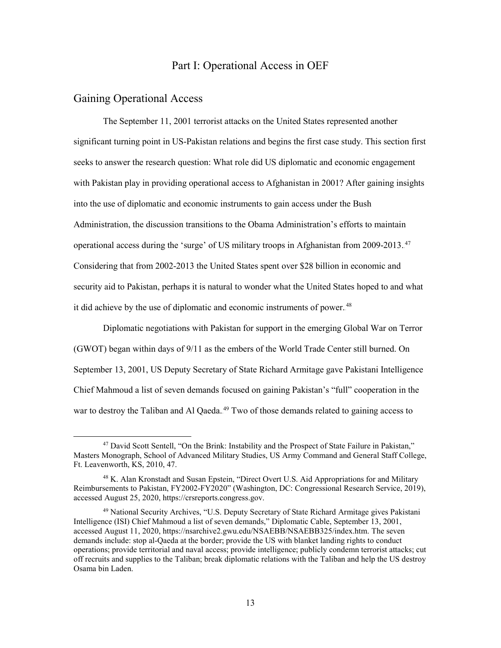#### Part I: Operational Access in OEF

#### <span id="page-20-1"></span><span id="page-20-0"></span>Gaining Operational Access

l

The September 11, 2001 terrorist attacks on the United States represented another significant turning point in US-Pakistan relations and begins the first case study. This section first seeks to answer the research question: What role did US diplomatic and economic engagement with Pakistan play in providing operational access to Afghanistan in 2001? After gaining insights into the use of diplomatic and economic instruments to gain access under the Bush Administration, the discussion transitions to the Obama Administration's efforts to maintain operational access during the 'surge' of US military troops in Afghanistan from 2009-2013.<sup>47</sup> Considering that from 2002-2013 the United States spent over \$28 billion in economic and security aid to Pakistan, perhaps it is natural to wonder what the United States hoped to and what it did achieve by the use of diplomatic and economic instruments of power.<sup>48</sup>

Diplomatic negotiations with Pakistan for support in the emerging Global War on Terror (GWOT) began within days of 9/11 as the embers of the World Trade Center still burned. On September 13, 2001, US Deputy Secretary of State Richard Armitage gave Pakistani Intelligence Chief Mahmoud a list of seven demands focused on gaining Pakistan's "full" cooperation in the war to destroy the Taliban and Al Qaeda.<sup>49</sup> Two of those demands related to gaining access to

<sup>&</sup>lt;sup>47</sup> David Scott Sentell, "On the Brink: Instability and the Prospect of State Failure in Pakistan," Masters Monograph, School of Advanced Military Studies, US Army Command and General Staff College, Ft. Leavenworth, KS, 2010, 47.

<sup>48</sup> K. Alan Kronstadt and Susan Epstein, "Direct Overt U.S. Aid Appropriations for and Military Reimbursements to Pakistan, FY2002-FY2020" (Washington, DC: Congressional Research Service, 2019), accessed August 25, 2020, [https://crsreports.congress.gov.](https://crsreports.congress.gov/)

<sup>49</sup> National Security Archives, "U.S. Deputy Secretary of State Richard Armitage gives Pakistani Intelligence (ISI) Chief Mahmoud a list of seven demands," Diplomatic Cable, September 13, 2001, accessed August 11, 2020, https://nsarchive2.gwu.edu/NSAEBB/NSAEBB325/index.htm. The seven demands include: stop al-Qaeda at the border; provide the US with blanket landing rights to conduct operations; provide territorial and naval access; provide intelligence; publicly condemn terrorist attacks; cut off recruits and supplies to the Taliban; break diplomatic relations with the Taliban and help the US destroy Osama bin Laden.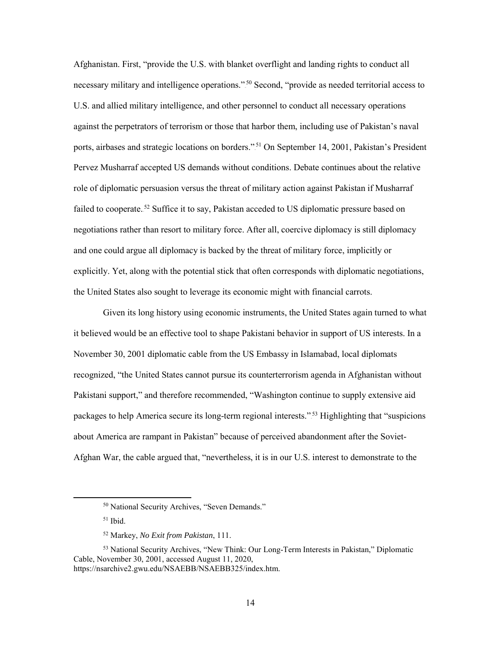Afghanistan. First, "provide the U.S. with blanket overflight and landing rights to conduct all necessary military and intelligence operations."<sup>50</sup> Second, "provide as needed territorial access to U.S. and allied military intelligence, and other personnel to conduct all necessary operations against the perpetrators of terrorism or those that harbor them, including use of Pakistan's naval ports, airbases and strategic locations on borders."<sup>51</sup> On September 14, 2001, Pakistan's President Pervez Musharraf accepted US demands without conditions. Debate continues about the relative role of diplomatic persuasion versus the threat of military action against Pakistan if Musharraf failed to cooperate.<sup>52</sup> Suffice it to say, Pakistan acceded to US diplomatic pressure based on negotiations rather than resort to military force. After all, coercive diplomacy is still diplomacy and one could argue all diplomacy is backed by the threat of military force, implicitly or explicitly. Yet, along with the potential stick that often corresponds with diplomatic negotiations, the United States also sought to leverage its economic might with financial carrots.

Given its long history using economic instruments, the United States again turned to what it believed would be an effective tool to shape Pakistani behavior in support of US interests. In a November 30, 2001 diplomatic cable from the US Embassy in Islamabad, local diplomats recognized, "the United States cannot pursue its counterterrorism agenda in Afghanistan without Pakistani support," and therefore recommended, "Washington continue to supply extensive aid packages to help America secure its long-term regional interests."<sup>53</sup> Highlighting that "suspicions about America are rampant in Pakistan" because of perceived abandonment after the Soviet-Afghan War, the cable argued that, "nevertheless, it is in our U.S. interest to demonstrate to the

<sup>50</sup> National Security Archives, "Seven Demands."

 $51$  Ibid.

<sup>52</sup> Markey, *No Exit from Pakistan*, 111.

<sup>53</sup> National Security Archives, "New Think: Our Long-Term Interests in Pakistan," Diplomatic Cable, November 30, 2001, accessed August 11, 2020, https://nsarchive2.gwu.edu/NSAEBB/NSAEBB325/index.htm.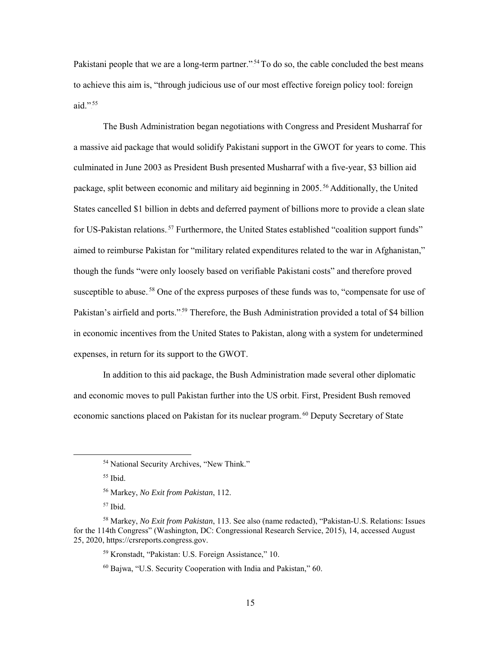Pakistani people that we are a long-term partner."<sup>54</sup> To do so, the cable concluded the best means to achieve this aim is, "through judicious use of our most effective foreign policy tool: foreign aid." $\cdot$ <sup>55</sup>

The Bush Administration began negotiations with Congress and President Musharraf for a massive aid package that would solidify Pakistani support in the GWOT for years to come. This culminated in June 2003 as President Bush presented Musharraf with a five-year, \$3 billion aid package, split between economic and military aid beginning in 2005.<sup>56</sup> Additionally, the United States cancelled \$1 billion in debts and deferred payment of billions more to provide a clean slate for US-Pakistan relations.<sup>57</sup> Furthermore, the United States established "coalition support funds" aimed to reimburse Pakistan for "military related expenditures related to the war in Afghanistan," though the funds "were only loosely based on verifiable Pakistani costs" and therefore proved susceptible to abuse.<sup>58</sup> One of the express purposes of these funds was to, "compensate for use of Pakistan's airfield and ports."<sup>59</sup> Therefore, the Bush Administration provided a total of \$4 billion in economic incentives from the United States to Pakistan, along with a system for undetermined expenses, in return for its support to the GWOT.

In addition to this aid package, the Bush Administration made several other diplomatic and economic moves to pull Pakistan further into the US orbit. First, President Bush removed economic sanctions placed on Pakistan for its nuclear program.<sup>60</sup> Deputy Secretary of State

<sup>55</sup> Ibid.

<sup>&</sup>lt;sup>54</sup> National Security Archives, "New Think."

<sup>56</sup> Markey, *No Exit from Pakistan*, 112.

 $57$  Ibid.

<sup>58</sup> Markey, *No Exit from Pakistan*, 113. See also (name redacted), "Pakistan-U.S. Relations: Issues for the 114th Congress" (Washington, DC: Congressional Research Service, 2015), 14, accessed August 25, 2020, https://crsreports.congress.gov.

<sup>59</sup> Kronstadt, "Pakistan: U.S. Foreign Assistance," 10.

 $60$  Bajwa, "U.S. Security Cooperation with India and Pakistan," 60.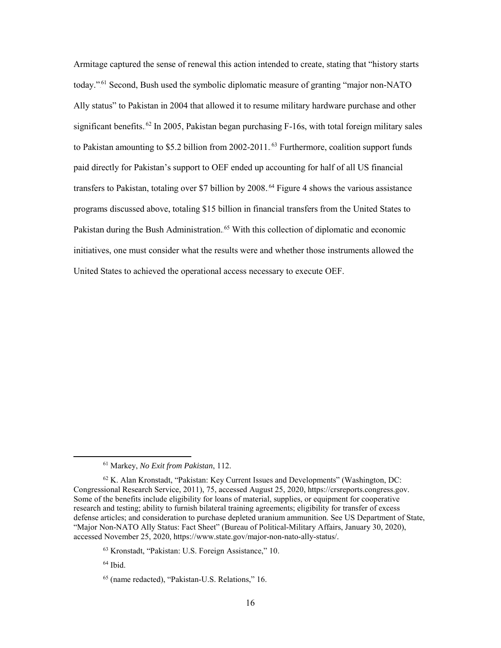Armitage captured the sense of renewal this action intended to create, stating that "history starts today."<sup>61</sup> Second, Bush used the symbolic diplomatic measure of granting "major non-NATO Ally status" to Pakistan in 2004 that allowed it to resume military hardware purchase and other significant benefits.<sup>62</sup> In 2005, Pakistan began purchasing F-16s, with total foreign military sales to Pakistan amounting to \$5.2 billion from 2002-2011.<sup>63</sup> Furthermore, coalition support funds paid directly for Pakistan's support to OEF ended up accounting for half of all US financial transfers to Pakistan, totaling over \$7 billion by 2008.<sup>64</sup> Figure 4 shows the various assistance programs discussed above, totaling \$15 billion in financial transfers from the United States to Pakistan during the Bush Administration.<sup>65</sup> With this collection of diplomatic and economic initiatives, one must consider what the results were and whether those instruments allowed the United States to achieved the operational access necessary to execute OEF.

<sup>61</sup> Markey, *No Exit from Pakistan*, 112.

 $62$  K. Alan Kronstadt, "Pakistan: Key Current Issues and Developments" (Washington, DC: Congressional Research Service, 2011), 75, accessed August 25, 2020, https://crsreports.congress.gov. Some of the benefits include eligibility for loans of material, supplies, or equipment for cooperative research and testing; ability to furnish bilateral training agreements; eligibility for transfer of excess defense articles; and consideration to purchase depleted uranium ammunition. See US Department of State, "Major Non-NATO Ally Status: Fact Sheet" (Bureau of Political-Military Affairs, January 30, 2020), accessed November 25, 2020, https://www.state.gov/major-non-nato-ally-status/.

<sup>63</sup> Kronstadt, "Pakistan: U.S. Foreign Assistance," 10.

 $64$  Ibid.

<sup>65</sup> (name redacted), "Pakistan-U.S. Relations," 16.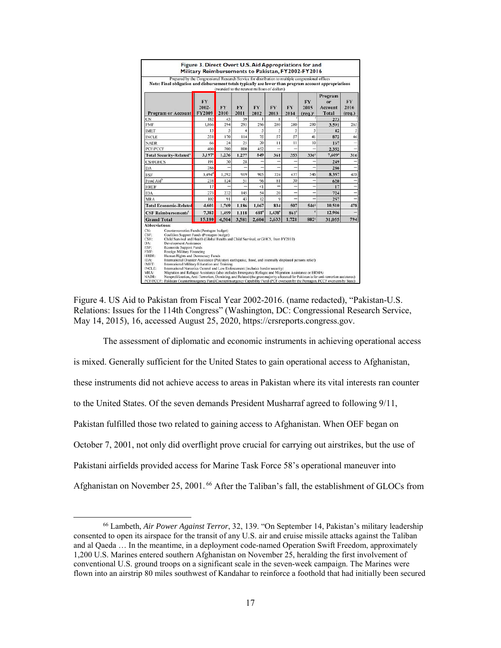| <b>Program or Account</b>                                                                                                                                                                                                                                                                                                                                                                                                                                                                                                                                                                                                                                                                                                                                              | FY<br>$2002 -$<br>FY2009 | (rounded to the nearest millions of dollars)<br><b>FY</b><br>2010 | <b>FY</b><br>2011 | <b>FY</b><br>2012 | <b>FY</b><br>2013 | FY<br>2014  | FY<br>2015<br>$^{\rm (req.)^{\rm g}}$ | Program<br>0r<br>Account<br><b>Total</b> | FY<br>2016<br>$_{(req.)}$ |
|------------------------------------------------------------------------------------------------------------------------------------------------------------------------------------------------------------------------------------------------------------------------------------------------------------------------------------------------------------------------------------------------------------------------------------------------------------------------------------------------------------------------------------------------------------------------------------------------------------------------------------------------------------------------------------------------------------------------------------------------------------------------|--------------------------|-------------------------------------------------------------------|-------------------|-------------------|-------------------|-------------|---------------------------------------|------------------------------------------|---------------------------|
| CN                                                                                                                                                                                                                                                                                                                                                                                                                                                                                                                                                                                                                                                                                                                                                                     | 182                      | 43                                                                | 39                | ı                 | $\overline{8}$    |             |                                       | 273                                      |                           |
| <b>FMF</b>                                                                                                                                                                                                                                                                                                                                                                                                                                                                                                                                                                                                                                                                                                                                                             | 1,866                    | 294                                                               | 295               | 296               | 280               | 280         | 280                                   | 3,591                                    | 265                       |
| <b>IMET</b>                                                                                                                                                                                                                                                                                                                                                                                                                                                                                                                                                                                                                                                                                                                                                            | 13                       | 5                                                                 | 4                 | 5                 | 5                 | 5           | 5                                     | 42                                       | 5                         |
| <b>INCLE</b>                                                                                                                                                                                                                                                                                                                                                                                                                                                                                                                                                                                                                                                                                                                                                           | 358                      | 170                                                               | 114               | 75                | 57                | 57          | 41                                    | 872                                      | 46                        |
| <b>NADR</b>                                                                                                                                                                                                                                                                                                                                                                                                                                                                                                                                                                                                                                                                                                                                                            | 66                       | 24                                                                | 25                | 20                | 11                | П           | 10                                    | 167                                      | ÷                         |
| <b>PCF/PCCF</b>                                                                                                                                                                                                                                                                                                                                                                                                                                                                                                                                                                                                                                                                                                                                                        | 400                      | 700                                                               | 800               | 452               | -                 | ۳           | ۰                                     | 2,352                                    | ٠                         |
| <b>Total Security-Related®</b>                                                                                                                                                                                                                                                                                                                                                                                                                                                                                                                                                                                                                                                                                                                                         | $3,197^*$                | 1.236                                                             | 1.277             | 849               | 361               | 353         | 336 <sup>8</sup>                      | 7,609*                                   | 316                       |
| <b>CSH/GHCS</b>                                                                                                                                                                                                                                                                                                                                                                                                                                                                                                                                                                                                                                                                                                                                                        | 191                      | 30                                                                | 28                |                   |                   |             |                                       | 249                                      |                           |
| DA                                                                                                                                                                                                                                                                                                                                                                                                                                                                                                                                                                                                                                                                                                                                                                     | 286                      |                                                                   |                   |                   |                   | -           |                                       | 286                                      |                           |
| ESF                                                                                                                                                                                                                                                                                                                                                                                                                                                                                                                                                                                                                                                                                                                                                                    | $3.494$ <sup>d</sup>     | 1,292                                                             | 919               | 905               | 724               | 477         | 546                                   | 8,357                                    | 478                       |
| Food Aid <sup>b</sup>                                                                                                                                                                                                                                                                                                                                                                                                                                                                                                                                                                                                                                                                                                                                                  | 238                      | 124                                                               | 51                | 96                | 81                | 30          |                                       | 620                                      | ٠                         |
| <b>HRDF</b>                                                                                                                                                                                                                                                                                                                                                                                                                                                                                                                                                                                                                                                                                                                                                            | 17                       |                                                                   | ä,                | $\leq$            | ٠                 | ۳           |                                       | 17                                       |                           |
| <b>IDA</b>                                                                                                                                                                                                                                                                                                                                                                                                                                                                                                                                                                                                                                                                                                                                                             | 273                      | 232                                                               | 145               | 54                | 20                | -           |                                       | 724                                      | ٠                         |
| <b>MRA</b>                                                                                                                                                                                                                                                                                                                                                                                                                                                                                                                                                                                                                                                                                                                                                             | 102                      | 91                                                                | 43                | 12                | $\ddot{Q}$        | -           |                                       | 257                                      |                           |
| <b>Total Economic-Related</b>                                                                                                                                                                                                                                                                                                                                                                                                                                                                                                                                                                                                                                                                                                                                          | 4,601                    | 1,769                                                             | 1,186             | 1,067             | 834               | 507         | 546                                   | 10,510                                   | 478                       |
| <b>CSF Reimbursements<sup>c</sup></b>                                                                                                                                                                                                                                                                                                                                                                                                                                                                                                                                                                                                                                                                                                                                  | 7,382                    | 1.499                                                             | 1.118             | 688°              | 1,438°            | $861^\circ$ | $\mathbf{c}$                          | 12,986                                   |                           |
| <b>Grand Total</b>                                                                                                                                                                                                                                                                                                                                                                                                                                                                                                                                                                                                                                                                                                                                                     | 15.180                   | 4.504                                                             | 3.581             | 2.604             | 2,633             | 1,721       | <b>882</b> <sup>s</sup>               | 31.055                                   | 794                       |
| CN:<br>Counternarcotics Funds (Pentagon budget)<br>CSF:<br>Coalition Support Funds (Pentagon budget)<br>Child Survival and Health (Global Health and Child Survival, or GHCS, from FY2010)<br>CSH:<br>Development Assistance<br>DA:<br>ESF:<br><b>Economic Support Funds</b><br>Foreign Military Financing<br>FMF:<br>HRDF:<br>Human Rights and Democracy Funds<br>International Disaster Assistance (Pakistani earthquake, flood, and internally displaced persons relief)<br>IDA:<br><b>IMET:</b><br>International Military Education and Training<br>International Narcotics Control and Law Enforcement (includes border security)<br><b>INCLE:</b><br>MRA:<br>Migration and Refugee Assistance (also includes Emergency Refugee and Migration Assistance or ERMA) |                          |                                                                   |                   |                   |                   |             |                                       |                                          |                           |



The assessment of diplomatic and economic instruments in achieving operational access is mixed. Generally sufficient for the United States to gain operational access to Afghanistan, these instruments did not achieve access to areas in Pakistan where its vital interests ran counter to the United States. Of the seven demands President Musharraf agreed to following 9/11, Pakistan fulfilled those two related to gaining access to Afghanistan. When OEF began on October 7, 2001, not only did overflight prove crucial for carrying out airstrikes, but the use of Pakistani airfields provided access for Marine Task Force 58's operational maneuver into Afghanistan on November 25, 2001.<sup>66</sup> After the Taliban's fall, the establishment of GLOCs from

<sup>66</sup> Lambeth, *Air Power Against Terror*, 32, 139. "On September 14, Pakistan's military leadership consented to open its airspace for the transit of any U.S. air and cruise missile attacks against the Taliban and al Qaeda … In the meantime, in a deployment code-named Operation Swift Freedom, approximately 1,200 U.S. Marines entered southern Afghanistan on November 25, heralding the first involvement of conventional U.S. ground troops on a significant scale in the seven-week campaign. The Marines were flown into an airstrip 80 miles southwest of Kandahar to reinforce a foothold that had initially been secured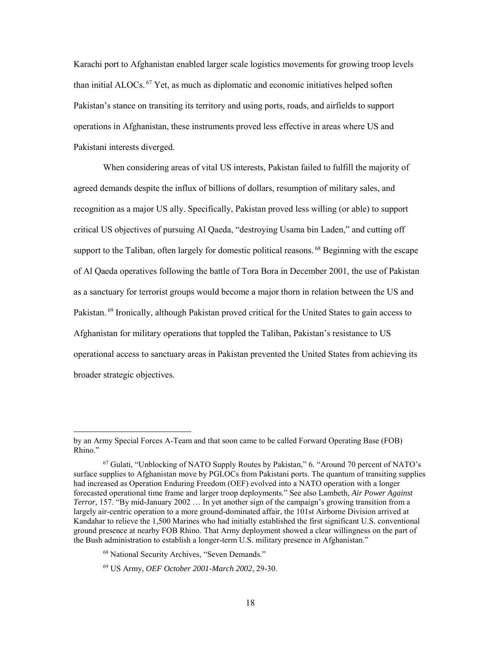Karachi port to Afghanistan enabled larger scale logistics movements for growing troop levels than initial ALOCs.<sup>67</sup> Yet, as much as diplomatic and economic initiatives helped soften Pakistan's stance on transiting its territory and using ports, roads, and airfields to support operations in Afghanistan, these instruments proved less effective in areas where US and Pakistani interests diverged.

When considering areas of vital US interests, Pakistan failed to fulfill the majority of agreed demands despite the influx of billions of dollars, resumption of military sales, and recognition as a major US ally. Specifically, Pakistan proved less willing (or able) to support critical US objectives of pursuing Al Qaeda, "destroying Usama bin Laden," and cutting off support to the Taliban, often largely for domestic political reasons.<sup>68</sup> Beginning with the escape of Al Qaeda operatives following the battle of Tora Bora in December 2001, the use of Pakistan as a sanctuary for terrorist groups would become a major thorn in relation between the US and Pakistan.<sup>69</sup> Ironically, although Pakistan proved critical for the United States to gain access to Afghanistan for military operations that toppled the Taliban, Pakistan's resistance to US operational access to sanctuary areas in Pakistan prevented the United States from achieving its broader strategic objectives.

by an Army Special Forces A-Team and that soon came to be called Forward Operating Base (FOB) Rhino."

<sup>67</sup> Gulati, "Unblocking of NATO Supply Routes by Pakistan," 6. "Around 70 percent of NATO's surface supplies to Afghanistan move by PGLOCs from Pakistani ports. The quantum of transiting supplies had increased as Operation Enduring Freedom (OEF) evolved into a NATO operation with a longer forecasted operational time frame and larger troop deployments." See also Lambeth, *Air Power Against Terror*, 157. "By mid-January 2002 … In yet another sign of the campaign's growing transition from a largely air-centric operation to a more ground-dominated affair, the 101st Airborne Division arrived at Kandahar to relieve the 1,500 Marines who had initially established the first significant U.S. conventional ground presence at nearby FOB Rhino. That Army deployment showed a clear willingness on the part of the Bush administration to establish a longer-term U.S. military presence in Afghanistan."

<sup>68</sup> National Security Archives, "Seven Demands."

<sup>69</sup> US Army, *OEF October 2001-March 2002*, 29-30.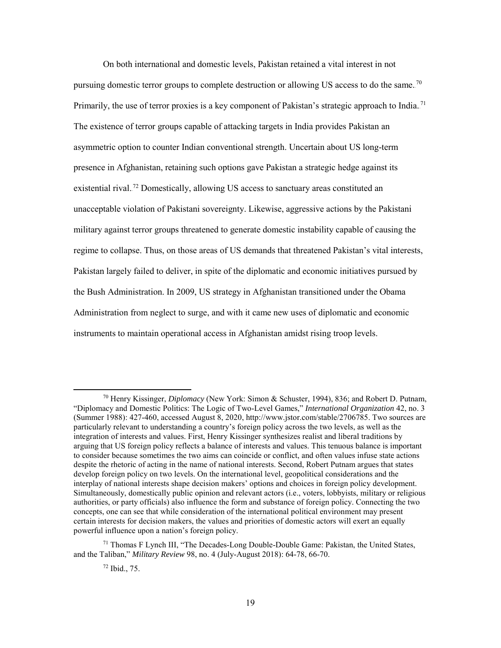On both international and domestic levels, Pakistan retained a vital interest in not pursuing domestic terror groups to complete destruction or allowing US access to do the same.<sup>70</sup> Primarily, the use of terror proxies is a key component of Pakistan's strategic approach to India.<sup>71</sup> The existence of terror groups capable of attacking targets in India provides Pakistan an asymmetric option to counter Indian conventional strength. Uncertain about US long-term presence in Afghanistan, retaining such options gave Pakistan a strategic hedge against its existential rival.<sup>72</sup> Domestically, allowing US access to sanctuary areas constituted an unacceptable violation of Pakistani sovereignty. Likewise, aggressive actions by the Pakistani military against terror groups threatened to generate domestic instability capable of causing the regime to collapse. Thus, on those areas of US demands that threatened Pakistan's vital interests, Pakistan largely failed to deliver, in spite of the diplomatic and economic initiatives pursued by the Bush Administration. In 2009, US strategy in Afghanistan transitioned under the Obama Administration from neglect to surge, and with it came new uses of diplomatic and economic instruments to maintain operational access in Afghanistan amidst rising troop levels.

<sup>70</sup> Henry Kissinger, *Diplomacy* (New York: Simon & Schuster, 1994), 836; and Robert D. Putnam, "Diplomacy and Domestic Politics: The Logic of Two-Level Games," *International Organization* 42, no. 3 (Summer 1988): 427-460, accessed August 8, 2020, http://www.jstor.com/stable/2706785. Two sources are particularly relevant to understanding a country's foreign policy across the two levels, as well as the integration of interests and values. First, Henry Kissinger synthesizes realist and liberal traditions by arguing that US foreign policy reflects a balance of interests and values. This tenuous balance is important to consider because sometimes the two aims can coincide or conflict, and often values infuse state actions despite the rhetoric of acting in the name of national interests. Second, Robert Putnam argues that states develop foreign policy on two levels. On the international level, geopolitical considerations and the interplay of national interests shape decision makers' options and choices in foreign policy development. Simultaneously, domestically public opinion and relevant actors (i.e., voters, lobbyists, military or religious authorities, or party officials) also influence the form and substance of foreign policy. Connecting the two concepts, one can see that while consideration of the international political environment may present certain interests for decision makers, the values and priorities of domestic actors will exert an equally powerful influence upon a nation's foreign policy.

 $71$  Thomas F Lynch III, "The Decades-Long Double-Double Game: Pakistan, the United States, and the Taliban," *Military Review* 98, no. 4 (July-August 2018): 64-78, 66-70.

<sup>72</sup> Ibid., 75.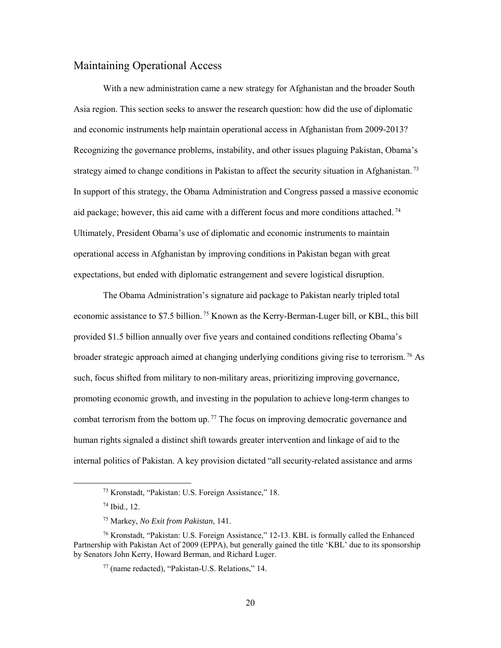### <span id="page-27-0"></span>Maintaining Operational Access

With a new administration came a new strategy for Afghanistan and the broader South Asia region. This section seeks to answer the research question: how did the use of diplomatic and economic instruments help maintain operational access in Afghanistan from 2009-2013? Recognizing the governance problems, instability, and other issues plaguing Pakistan, Obama's strategy aimed to change conditions in Pakistan to affect the security situation in Afghanistan.<sup>73</sup> In support of this strategy, the Obama Administration and Congress passed a massive economic aid package; however, this aid came with a different focus and more conditions attached.<sup>74</sup> Ultimately, President Obama's use of diplomatic and economic instruments to maintain operational access in Afghanistan by improving conditions in Pakistan began with great expectations, but ended with diplomatic estrangement and severe logistical disruption.

The Obama Administration's signature aid package to Pakistan nearly tripled total economic assistance to \$7.5 billion.<sup>75</sup> Known as the Kerry-Berman-Luger bill, or KBL, this bill provided \$1.5 billion annually over five years and contained conditions reflecting Obama's broader strategic approach aimed at changing underlying conditions giving rise to terrorism.<sup>76</sup> As such, focus shifted from military to non-military areas, prioritizing improving governance, promoting economic growth, and investing in the population to achieve long-term changes to combat terrorism from the bottom up.<sup>77</sup> The focus on improving democratic governance and human rights signaled a distinct shift towards greater intervention and linkage of aid to the internal politics of Pakistan. A key provision dictated "all security-related assistance and arms

<sup>73</sup> Kronstadt, "Pakistan: U.S. Foreign Assistance," 18.

<sup>74</sup> Ibid., 12.

<sup>75</sup> Markey, *No Exit from Pakistan*, 141.

<sup>76</sup> Kronstadt, "Pakistan: U.S. Foreign Assistance," 12-13. KBL is formally called the Enhanced Partnership with Pakistan Act of 2009 (EPPA), but generally gained the title 'KBL' due to its sponsorship by Senators John Kerry, Howard Berman, and Richard Luger.

<sup>77</sup> (name redacted), "Pakistan-U.S. Relations," 14.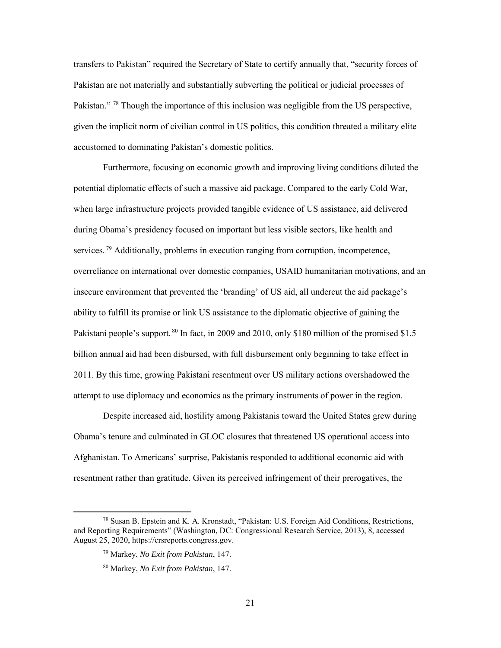transfers to Pakistan" required the Secretary of State to certify annually that, "security forces of Pakistan are not materially and substantially subverting the political or judicial processes of Pakistan."<sup>78</sup> Though the importance of this inclusion was negligible from the US perspective, given the implicit norm of civilian control in US politics, this condition threated a military elite accustomed to dominating Pakistan's domestic politics.

Furthermore, focusing on economic growth and improving living conditions diluted the potential diplomatic effects of such a massive aid package. Compared to the early Cold War, when large infrastructure projects provided tangible evidence of US assistance, aid delivered during Obama's presidency focused on important but less visible sectors, like health and services.<sup>79</sup> Additionally, problems in execution ranging from corruption, incompetence, overreliance on international over domestic companies, USAID humanitarian motivations, and an insecure environment that prevented the 'branding' of US aid, all undercut the aid package's ability to fulfill its promise or link US assistance to the diplomatic objective of gaining the Pakistani people's support.<sup>80</sup> In fact, in 2009 and 2010, only \$180 million of the promised \$1.5 billion annual aid had been disbursed, with full disbursement only beginning to take effect in 2011. By this time, growing Pakistani resentment over US military actions overshadowed the attempt to use diplomacy and economics as the primary instruments of power in the region.

Despite increased aid, hostility among Pakistanis toward the United States grew during Obama's tenure and culminated in GLOC closures that threatened US operational access into Afghanistan. To Americans' surprise, Pakistanis responded to additional economic aid with resentment rather than gratitude. Given its perceived infringement of their prerogatives, the

<sup>78</sup> Susan B. Epstein and K. A. Kronstadt, "Pakistan: U.S. Foreign Aid Conditions, Restrictions, and Reporting Requirements" (Washington, DC: Congressional Research Service, 2013), 8, accessed August 25, 2020, https://crsreports.congress.gov.

<sup>79</sup> Markey, *No Exit from Pakistan*, 147.

<sup>80</sup> Markey, *No Exit from Pakistan*, 147.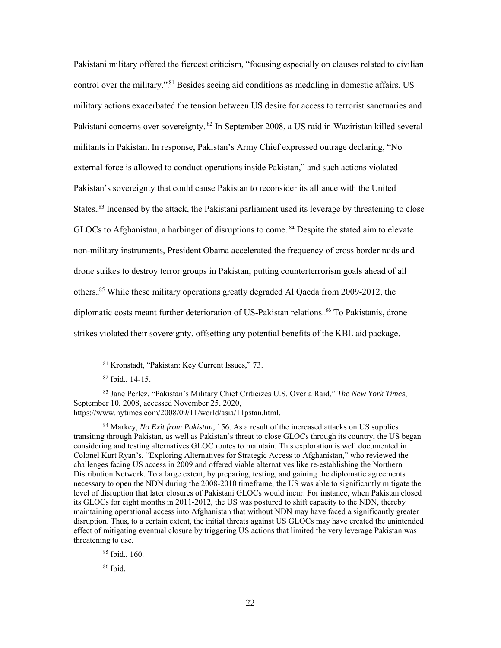Pakistani military offered the fiercest criticism, "focusing especially on clauses related to civilian control over the military."<sup>81</sup> Besides seeing aid conditions as meddling in domestic affairs, US military actions exacerbated the tension between US desire for access to terrorist sanctuaries and Pakistani concerns over sovereignty. <sup>82</sup> In September 2008, a US raid in Waziristan killed several militants in Pakistan. In response, Pakistan's Army Chief expressed outrage declaring, "No external force is allowed to conduct operations inside Pakistan," and such actions violated Pakistan's sovereignty that could cause Pakistan to reconsider its alliance with the United States.<sup>83</sup> Incensed by the attack, the Pakistani parliament used its leverage by threatening to close GLOCs to Afghanistan, a harbinger of disruptions to come.<sup>84</sup> Despite the stated aim to elevate non-military instruments, President Obama accelerated the frequency of cross border raids and drone strikes to destroy terror groups in Pakistan, putting counterterrorism goals ahead of all others.<sup>85</sup> While these military operations greatly degraded Al Qaeda from 2009-2012, the diplomatic costs meant further deterioration of US-Pakistan relations.<sup>86</sup> To Pakistanis, drone strikes violated their sovereignty, offsetting any potential benefits of the KBL aid package.

 $\overline{a}$ 

<sup>83</sup> Jane Perlez, "Pakistan's Military Chief Criticizes U.S. Over a Raid," *The New York Times*, September 10, 2008, accessed November 25, 2020, https://www.nytimes.com/2008/09/11/world/asia/11pstan.html.

<sup>85</sup> Ibid., 160.

<sup>86</sup> Ibid.

<sup>81</sup> Kronstadt, "Pakistan: Key Current Issues," 73.

<sup>82</sup> Ibid., 14-15.

<sup>84</sup> Markey, *No Exit from Pakistan*, 156. As a result of the increased attacks on US supplies transiting through Pakistan, as well as Pakistan's threat to close GLOCs through its country, the US began considering and testing alternatives GLOC routes to maintain. This exploration is well documented in Colonel Kurt Ryan's, "Exploring Alternatives for Strategic Access to Afghanistan," who reviewed the challenges facing US access in 2009 and offered viable alternatives like re-establishing the Northern Distribution Network. To a large extent, by preparing, testing, and gaining the diplomatic agreements necessary to open the NDN during the 2008-2010 timeframe, the US was able to significantly mitigate the level of disruption that later closures of Pakistani GLOCs would incur. For instance, when Pakistan closed its GLOCs for eight months in 2011-2012, the US was postured to shift capacity to the NDN, thereby maintaining operational access into Afghanistan that without NDN may have faced a significantly greater disruption. Thus, to a certain extent, the initial threats against US GLOCs may have created the unintended effect of mitigating eventual closure by triggering US actions that limited the very leverage Pakistan was threatening to use.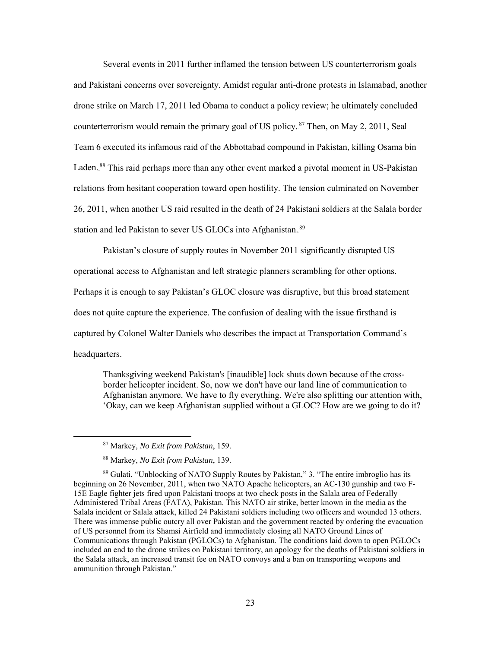Several events in 2011 further inflamed the tension between US counterterrorism goals and Pakistani concerns over sovereignty. Amidst regular anti-drone protests in Islamabad, another drone strike on March 17, 2011 led Obama to conduct a policy review; he ultimately concluded counterterrorism would remain the primary goal of US policy.<sup>87</sup> Then, on May 2, 2011, Seal Team 6 executed its infamous raid of the Abbottabad compound in Pakistan, killing Osama bin Laden.<sup>88</sup> This raid perhaps more than any other event marked a pivotal moment in US-Pakistan relations from hesitant cooperation toward open hostility. The tension culminated on November 26, 2011, when another US raid resulted in the death of 24 Pakistani soldiers at the Salala border station and led Pakistan to sever US GLOCs into Afghanistan.<sup>89</sup>

Pakistan's closure of supply routes in November 2011 significantly disrupted US operational access to Afghanistan and left strategic planners scrambling for other options. Perhaps it is enough to say Pakistan's GLOC closure was disruptive, but this broad statement does not quite capture the experience. The confusion of dealing with the issue firsthand is captured by Colonel Walter Daniels who describes the impact at Transportation Command's headquarters.

Thanksgiving weekend Pakistan's [inaudible] lock shuts down because of the crossborder helicopter incident. So, now we don't have our land line of communication to Afghanistan anymore. We have to fly everything. We're also splitting our attention with, 'Okay, can we keep Afghanistan supplied without a GLOC? How are we going to do it?

<sup>87</sup> Markey, *No Exit from Pakistan*, 159.

<sup>88</sup> Markey, *No Exit from Pakistan*, 139.

<sup>89</sup> Gulati, "Unblocking of NATO Supply Routes by Pakistan," 3. "The entire imbroglio has its beginning on 26 November, 2011, when two NATO Apache helicopters, an AC-130 gunship and two F-15E Eagle fighter jets fired upon Pakistani troops at two check posts in the Salala area of Federally Administered Tribal Areas (FATA), Pakistan. This NATO air strike, better known in the media as the Salala incident or Salala attack, killed 24 Pakistani soldiers including two officers and wounded 13 others. There was immense public outcry all over Pakistan and the government reacted by ordering the evacuation of US personnel from its Shamsi Airfield and immediately closing all NATO Ground Lines of Communications through Pakistan (PGLOCs) to Afghanistan. The conditions laid down to open PGLOCs included an end to the drone strikes on Pakistani territory, an apology for the deaths of Pakistani soldiers in the Salala attack, an increased transit fee on NATO convoys and a ban on transporting weapons and ammunition through Pakistan."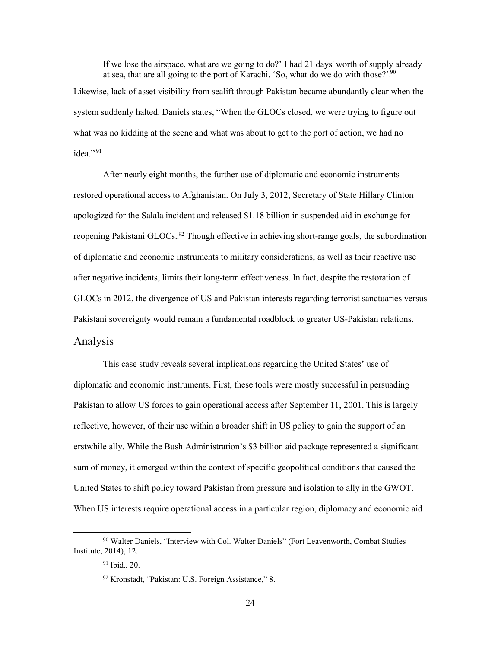If we lose the airspace, what are we going to do?' I had 21 days' worth of supply already at sea, that are all going to the port of Karachi. 'So, what do we do with those?'.<sup>90</sup> Likewise, lack of asset visibility from sealift through Pakistan became abundantly clear when the system suddenly halted. Daniels states, "When the GLOCs closed, we were trying to figure out what was no kidding at the scene and what was about to get to the port of action, we had no idea.".<sup>91</sup>

After nearly eight months, the further use of diplomatic and economic instruments restored operational access to Afghanistan. On July 3, 2012, Secretary of State Hillary Clinton apologized for the Salala incident and released \$1.18 billion in suspended aid in exchange for reopening Pakistani GLOCs.<sup>92</sup> Though effective in achieving short-range goals, the subordination of diplomatic and economic instruments to military considerations, as well as their reactive use after negative incidents, limits their long-term effectiveness. In fact, despite the restoration of GLOCs in 2012, the divergence of US and Pakistan interests regarding terrorist sanctuaries versus Pakistani sovereignty would remain a fundamental roadblock to greater US-Pakistan relations. Analysis

<span id="page-31-0"></span>This case study reveals several implications regarding the United States' use of diplomatic and economic instruments. First, these tools were mostly successful in persuading Pakistan to allow US forces to gain operational access after September 11, 2001. This is largely reflective, however, of their use within a broader shift in US policy to gain the support of an erstwhile ally. While the Bush Administration's \$3 billion aid package represented a significant sum of money, it emerged within the context of specific geopolitical conditions that caused the United States to shift policy toward Pakistan from pressure and isolation to ally in the GWOT. When US interests require operational access in a particular region, diplomacy and economic aid

<sup>90</sup> Walter Daniels, "Interview with Col. Walter Daniels" (Fort Leavenworth, Combat Studies Institute, 2014), 12.

<sup>91</sup> Ibid., 20.

<sup>92</sup> Kronstadt, "Pakistan: U.S. Foreign Assistance," 8.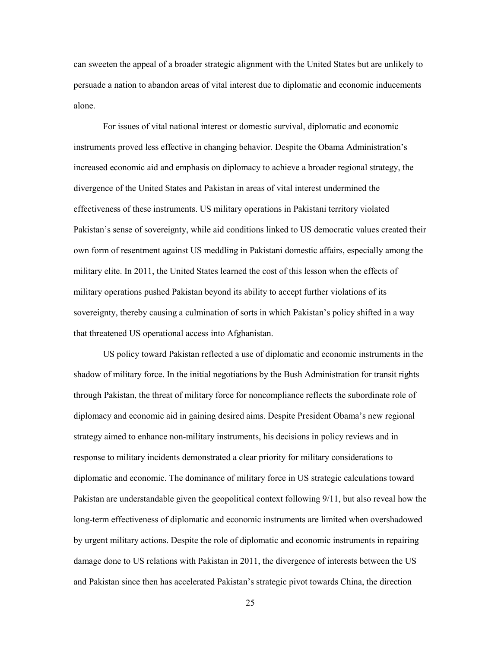can sweeten the appeal of a broader strategic alignment with the United States but are unlikely to persuade a nation to abandon areas of vital interest due to diplomatic and economic inducements alone.

For issues of vital national interest or domestic survival, diplomatic and economic instruments proved less effective in changing behavior. Despite the Obama Administration's increased economic aid and emphasis on diplomacy to achieve a broader regional strategy, the divergence of the United States and Pakistan in areas of vital interest undermined the effectiveness of these instruments. US military operations in Pakistani territory violated Pakistan's sense of sovereignty, while aid conditions linked to US democratic values created their own form of resentment against US meddling in Pakistani domestic affairs, especially among the military elite. In 2011, the United States learned the cost of this lesson when the effects of military operations pushed Pakistan beyond its ability to accept further violations of its sovereignty, thereby causing a culmination of sorts in which Pakistan's policy shifted in a way that threatened US operational access into Afghanistan.

US policy toward Pakistan reflected a use of diplomatic and economic instruments in the shadow of military force. In the initial negotiations by the Bush Administration for transit rights through Pakistan, the threat of military force for noncompliance reflects the subordinate role of diplomacy and economic aid in gaining desired aims. Despite President Obama's new regional strategy aimed to enhance non-military instruments, his decisions in policy reviews and in response to military incidents demonstrated a clear priority for military considerations to diplomatic and economic. The dominance of military force in US strategic calculations toward Pakistan are understandable given the geopolitical context following 9/11, but also reveal how the long-term effectiveness of diplomatic and economic instruments are limited when overshadowed by urgent military actions. Despite the role of diplomatic and economic instruments in repairing damage done to US relations with Pakistan in 2011, the divergence of interests between the US and Pakistan since then has accelerated Pakistan's strategic pivot towards China, the direction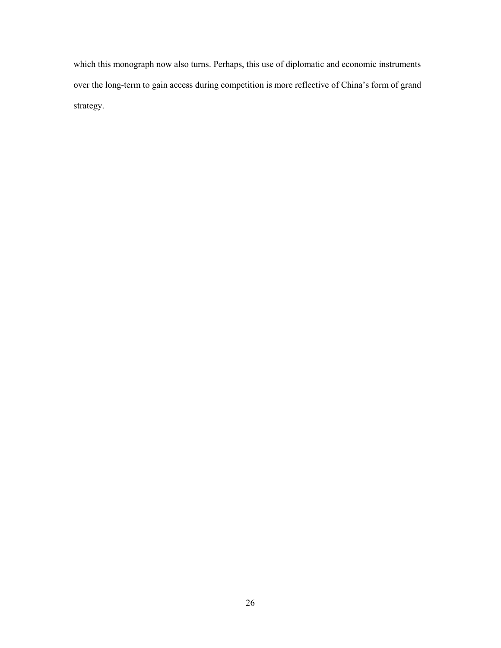which this monograph now also turns. Perhaps, this use of diplomatic and economic instruments over the long-term to gain access during competition is more reflective of China's form of grand strategy.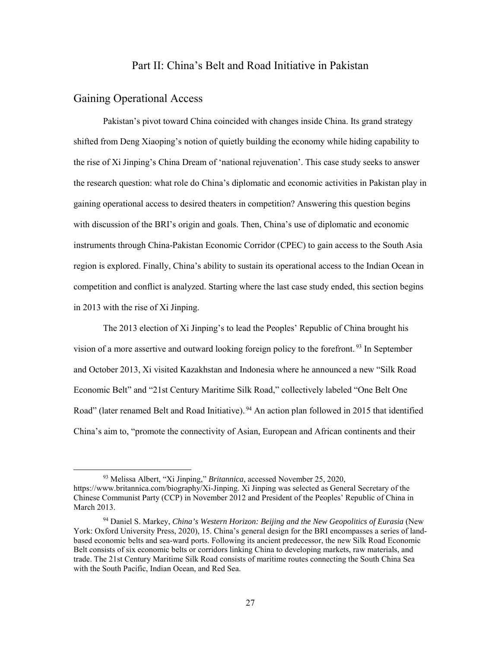## Part II: China's Belt and Road Initiative in Pakistan

#### <span id="page-34-1"></span><span id="page-34-0"></span>Gaining Operational Access

 $\overline{\phantom{a}}$ 

Pakistan's pivot toward China coincided with changes inside China. Its grand strategy shifted from Deng Xiaoping's notion of quietly building the economy while hiding capability to the rise of Xi Jinping's China Dream of 'national rejuvenation'. This case study seeks to answer the research question: what role do China's diplomatic and economic activities in Pakistan play in gaining operational access to desired theaters in competition? Answering this question begins with discussion of the BRI's origin and goals. Then, China's use of diplomatic and economic instruments through China-Pakistan Economic Corridor (CPEC) to gain access to the South Asia region is explored. Finally, China's ability to sustain its operational access to the Indian Ocean in competition and conflict is analyzed. Starting where the last case study ended, this section begins in 2013 with the rise of Xi Jinping.

The 2013 election of Xi Jinping's to lead the Peoples' Republic of China brought his vision of a more assertive and outward looking foreign policy to the forefront.<sup>93</sup> In September and October 2013, Xi visited Kazakhstan and Indonesia where he announced a new "Silk Road Economic Belt" and "21st Century Maritime Silk Road," collectively labeled "One Belt One Road" (later renamed Belt and Road Initiative).<sup>94</sup> An action plan followed in 2015 that identified China's aim to, "promote the connectivity of Asian, European and African continents and their

<sup>93</sup> Melissa Albert, "Xi Jinping," *Britannica*, accessed November 25, 2020, https://www.britannica.com/biography/Xi-Jinping. Xi Jinping was selected as General Secretary of the Chinese Communist Party (CCP) in November 2012 and President of the Peoples' Republic of China in March 2013.

<sup>94</sup> Daniel S. Markey, *China's Western Horizon: Beijing and the New Geopolitics of Eurasia* (New York: Oxford University Press, 2020), 15. China's general design for the BRI encompasses a series of landbased economic belts and sea-ward ports. Following its ancient predecessor, the new Silk Road Economic Belt consists of six economic belts or corridors linking China to developing markets, raw materials, and trade. The 21st Century Maritime Silk Road consists of maritime routes connecting the South China Sea with the South Pacific, Indian Ocean, and Red Sea.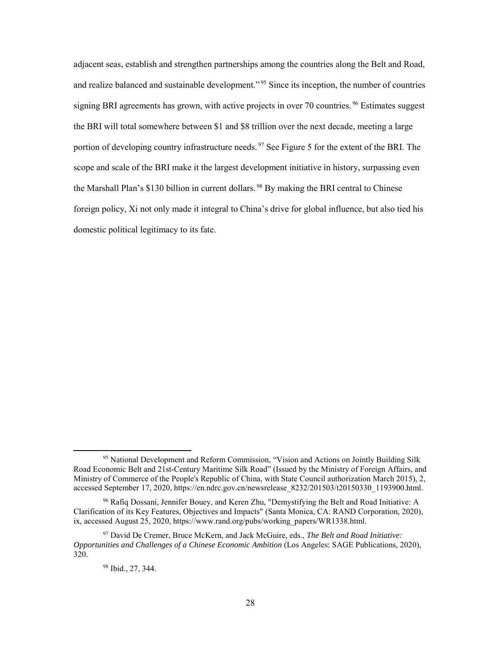adjacent seas, establish and strengthen partnerships among the countries along the Belt and Road, and realize balanced and sustainable development."<sup>95</sup> Since its inception, the number of countries signing BRI agreements has grown, with active projects in over 70 countries.<sup>96</sup> Estimates suggest the BRI will total somewhere between \$1 and \$8 trillion over the next decade, meeting a large portion of developing country infrastructure needs.<sup>97</sup> See Figure 5 for the extent of the BRI. The scope and scale of the BRI make it the largest development initiative in history, surpassing even the Marshall Plan's \$130 billion in current dollars.<sup>98</sup> By making the BRI central to Chinese foreign policy, Xi not only made it integral to China's drive for global influence, but also tied his domestic political legitimacy to its fate.

<sup>95</sup> National Development and Reform Commission, "Vision and Actions on Jointly Building Silk Road Economic Belt and 21st-Century Maritime Silk Road" (Issued by the Ministry of Foreign Affairs, and Ministry of Commerce of the People's Republic of China, with State Council authorization March 2015), 2, accessed September 17, 2020, https://en.ndrc.gov.cn/newsrelease\_8232/201503/t20150330\_1193900.html.

<sup>&</sup>lt;sup>96</sup> Rafiq Dossani, Jennifer Bouey, and Keren Zhu, "Demystifying the Belt and Road Initiative: A Clarification of its Key Features, Objectives and Impacts" (Santa Monica, CA: RAND Corporation, 2020), ix, accessed August 25, 2020, https://www.rand.org/pubs/working\_papers/WR1338.html.

<sup>97</sup> David De Cremer, Bruce McKern, and Jack McGuire, eds., *The Belt and Road Initiative: Opportunities and Challenges of a Chinese Economic Ambition* (Los Angeles: SAGE Publications, 2020), 320.

<sup>98</sup> Ibid., 27, 344.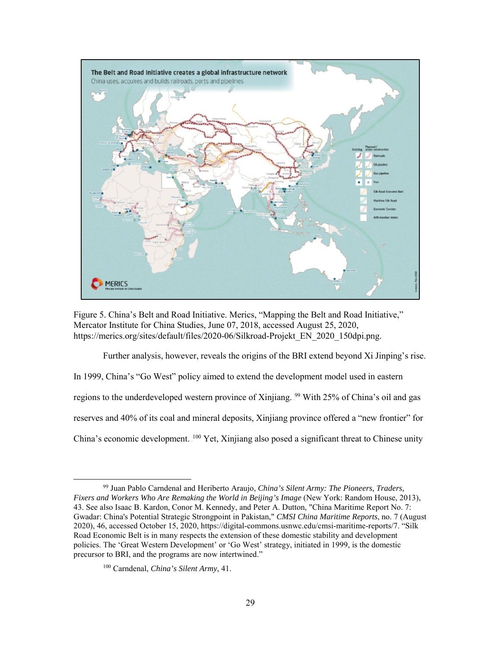

Figure 5. China's Belt and Road Initiative. Merics, "Mapping the Belt and Road Initiative," Mercator Institute for China Studies, June 07, 2018, accessed August 25, 2020, https://merics.org/sites/default/files/2020-06/Silkroad-Projekt\_EN\_2020\_150dpi.png.

Further analysis, however, reveals the origins of the BRI extend beyond Xi Jinping's rise.

In 1999, China's "Go West" policy aimed to extend the development model used in eastern

regions to the underdeveloped western province of Xinjiang. <sup>99</sup> With 25% of China's oil and gas

reserves and 40% of its coal and mineral deposits, Xinjiang province offered a "new frontier" for

China's economic development. <sup>100</sup> Yet, Xinjiang also posed a significant threat to Chinese unity

<sup>99</sup> Juan Pablo Carndenal and Heriberto Araujo, *China's Silent Army: The Pioneers, Traders, Fixers and Workers Who Are Remaking the World in Beijing's Image* (New York: Random House, 2013), 43. See also Isaac B. Kardon, Conor M. Kennedy, and Peter A. Dutton, "China Maritime Report No. 7: Gwadar: China's Potential Strategic Strongpoint in Pakistan," *CMSI China Maritime Reports*, no. 7 (August 2020), 46, accessed October 15, 2020, https://digital-commons.usnwc.edu/cmsi-maritime-reports/7. "Silk Road Economic Belt is in many respects the extension of these domestic stability and development policies. The 'Great Western Development' or 'Go West' strategy, initiated in 1999, is the domestic precursor to BRI, and the programs are now intertwined."

<sup>100</sup> Carndenal, *China's Silent Army*, 41.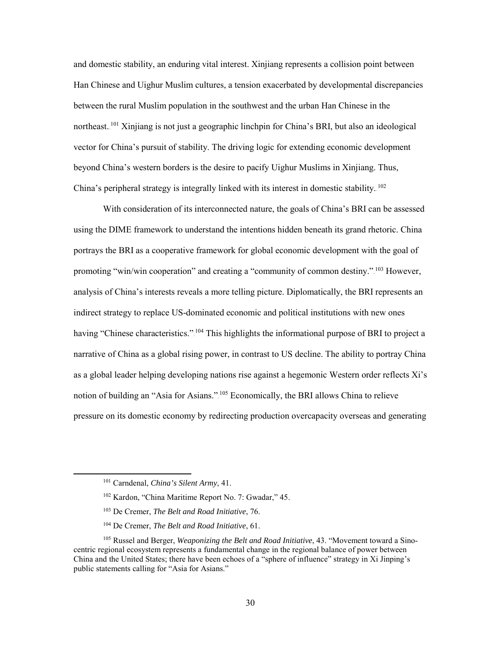and domestic stability, an enduring vital interest. Xinjiang represents a collision point between Han Chinese and Uighur Muslim cultures, a tension exacerbated by developmental discrepancies between the rural Muslim population in the southwest and the urban Han Chinese in the northeast.<sup>101</sup> Xinjiang is not just a geographic linchpin for China's BRI, but also an ideological vector for China's pursuit of stability. The driving logic for extending economic development beyond China's western borders is the desire to pacify Uighur Muslims in Xinjiang. Thus, China's peripheral strategy is integrally linked with its interest in domestic stability. $102$ 

With consideration of its interconnected nature, the goals of China's BRI can be assessed using the DIME framework to understand the intentions hidden beneath its grand rhetoric. China portrays the BRI as a cooperative framework for global economic development with the goal of promoting "win/win cooperation" and creating a "community of common destiny." <sup>103</sup> However, analysis of China's interests reveals a more telling picture. Diplomatically, the BRI represents an indirect strategy to replace US-dominated economic and political institutions with new ones having "Chinese characteristics." <sup>104</sup> This highlights the informational purpose of BRI to project a narrative of China as a global rising power, in contrast to US decline. The ability to portray China as a global leader helping developing nations rise against a hegemonic Western order reflects Xi's notion of building an "Asia for Asians."<sup>105</sup> Economically, the BRI allows China to relieve pressure on its domestic economy by redirecting production overcapacity overseas and generating

 $\overline{a}$ 

<sup>101</sup> Carndenal, *China's Silent Army*, 41.

<sup>102</sup> Kardon, "China Maritime Report No. 7: Gwadar," 45.

<sup>103</sup> De Cremer, *The Belt and Road Initiative*, 76.

<sup>104</sup> De Cremer, *The Belt and Road Initiative*, 61.

<sup>105</sup> Russel and Berger, *Weaponizing the Belt and Road Initiative*, 43. "Movement toward a Sinocentric regional ecosystem represents a fundamental change in the regional balance of power between China and the United States; there have been echoes of a "sphere of influence" strategy in Xi Jinping's public statements calling for "Asia for Asians."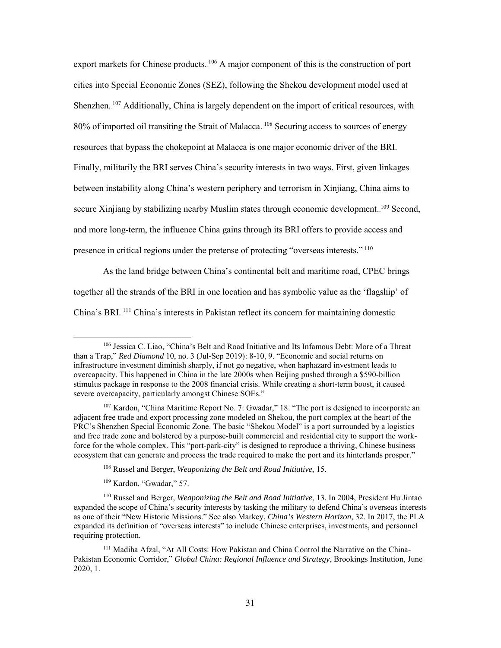export markets for Chinese products. <sup>106</sup> A major component of this is the construction of port cities into Special Economic Zones (SEZ), following the Shekou development model used at Shenzhen.<sup>107</sup> Additionally, China is largely dependent on the import of critical resources, with 80% of imported oil transiting the Strait of Malacca. <sup>108</sup> Securing access to sources of energy resources that bypass the chokepoint at Malacca is one major economic driver of the BRI. Finally, militarily the BRI serves China's security interests in two ways. First, given linkages between instability along China's western periphery and terrorism in Xinjiang, China aims to secure Xinjiang by stabilizing nearby Muslim states through economic development.<sup>109</sup> Second, and more long-term, the influence China gains through its BRI offers to provide access and presence in critical regions under the pretense of protecting "overseas interests.".<sup>110</sup>

As the land bridge between China's continental belt and maritime road, CPEC brings together all the strands of the BRI in one location and has symbolic value as the 'flagship' of China's BRI.<sup>111</sup> China's interests in Pakistan reflect its concern for maintaining domestic

<sup>109</sup> Kardon, "Gwadar," 57.

<sup>106</sup> Jessica C. Liao, "China's Belt and Road Initiative and Its Infamous Debt: More of a Threat than a Trap," *Red Diamond* 10, no. 3 (Jul-Sep 2019): 8-10, 9. "Economic and social returns on infrastructure investment diminish sharply, if not go negative, when haphazard investment leads to overcapacity. This happened in China in the late 2000s when Beijing pushed through a \$590-billion stimulus package in response to the 2008 financial crisis. While creating a short-term boost, it caused severe overcapacity, particularly amongst Chinese SOEs."

<sup>107</sup> Kardon, "China Maritime Report No. 7: Gwadar," 18. "The port is designed to incorporate an adjacent free trade and export processing zone modeled on Shekou, the port complex at the heart of the PRC's Shenzhen Special Economic Zone. The basic "Shekou Model" is a port surrounded by a logistics and free trade zone and bolstered by a purpose-built commercial and residential city to support the workforce for the whole complex. This "port-park-city" is designed to reproduce a thriving, Chinese business ecosystem that can generate and process the trade required to make the port and its hinterlands prosper."

<sup>108</sup> Russel and Berger, *Weaponizing the Belt and Road Initiative*, 15.

<sup>110</sup> Russel and Berger, *Weaponizing the Belt and Road Initiative*, 13. In 2004, President Hu Jintao expanded the scope of China's security interests by tasking the military to defend China's overseas interests as one of their "New Historic Missions." See also Markey, *China's Western Horizon*, 32. In 2017, the PLA expanded its definition of "overseas interests" to include Chinese enterprises, investments, and personnel requiring protection.

<sup>111</sup> Madiha Afzal, "At All Costs: How Pakistan and China Control the Narrative on the China-Pakistan Economic Corridor," *Global China: Regional Influence and Strategy*, Brookings Institution, June 2020, 1.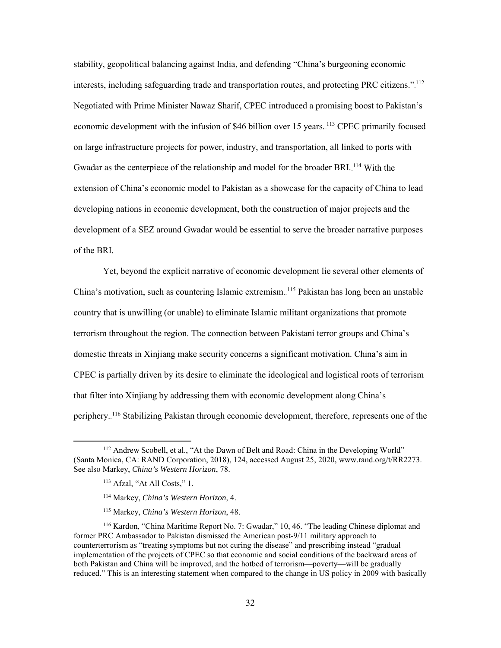stability, geopolitical balancing against India, and defending "China's burgeoning economic interests, including safeguarding trade and transportation routes, and protecting PRC citizens."<sup>112</sup> Negotiated with Prime Minister Nawaz Sharif, CPEC introduced a promising boost to Pakistan's economic development with the infusion of \$46 billion over 15 years.<sup>113</sup> CPEC primarily focused on large infrastructure projects for power, industry, and transportation, all linked to ports with Gwadar as the centerpiece of the relationship and model for the broader BRI.<sup>114</sup> With the extension of China's economic model to Pakistan as a showcase for the capacity of China to lead developing nations in economic development, both the construction of major projects and the development of a SEZ around Gwadar would be essential to serve the broader narrative purposes of the BRI.

Yet, beyond the explicit narrative of economic development lie several other elements of China's motivation, such as countering Islamic extremism. <sup>115</sup> Pakistan has long been an unstable country that is unwilling (or unable) to eliminate Islamic militant organizations that promote terrorism throughout the region. The connection between Pakistani terror groups and China's domestic threats in Xinjiang make security concerns a significant motivation. China's aim in CPEC is partially driven by its desire to eliminate the ideological and logistical roots of terrorism that filter into Xinjiang by addressing them with economic development along China's periphery. <sup>116</sup> Stabilizing Pakistan through economic development, therefore, represents one of the

<sup>&</sup>lt;sup>112</sup> Andrew Scobell, et al., "At the Dawn of Belt and Road: China in the Developing World" (Santa Monica, CA: RAND Corporation, 2018), 124, accessed August 25, 2020, www.rand.org/t/RR2273. See also Markey, *China's Western Horizon*, 78.

<sup>113</sup> Afzal, "At All Costs," 1.

<sup>114</sup> Markey, *China's Western Horizon*, 4.

<sup>115</sup> Markey, *China's Western Horizon*, 48.

<sup>116</sup> Kardon, "China Maritime Report No. 7: Gwadar," 10, 46. "The leading Chinese diplomat and former PRC Ambassador to Pakistan dismissed the American post-9/11 military approach to counterterrorism as "treating symptoms but not curing the disease" and prescribing instead "gradual implementation of the projects of CPEC so that economic and social conditions of the backward areas of both Pakistan and China will be improved, and the hotbed of terrorism—poverty—will be gradually reduced." This is an interesting statement when compared to the change in US policy in 2009 with basically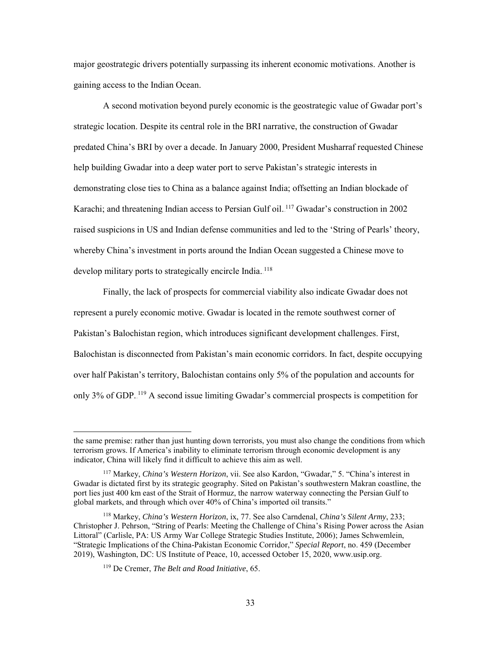major geostrategic drivers potentially surpassing its inherent economic motivations. Another is gaining access to the Indian Ocean.

A second motivation beyond purely economic is the geostrategic value of Gwadar port's strategic location. Despite its central role in the BRI narrative, the construction of Gwadar predated China's BRI by over a decade. In January 2000, President Musharraf requested Chinese help building Gwadar into a deep water port to serve Pakistan's strategic interests in demonstrating close ties to China as a balance against India; offsetting an Indian blockade of Karachi; and threatening Indian access to Persian Gulf oil.<sup>117</sup> Gwadar's construction in 2002 raised suspicions in US and Indian defense communities and led to the 'String of Pearls' theory, whereby China's investment in ports around the Indian Ocean suggested a Chinese move to develop military ports to strategically encircle India.<sup>118</sup>

Finally, the lack of prospects for commercial viability also indicate Gwadar does not represent a purely economic motive. Gwadar is located in the remote southwest corner of Pakistan's Balochistan region, which introduces significant development challenges. First, Balochistan is disconnected from Pakistan's main economic corridors. In fact, despite occupying over half Pakistan's territory, Balochistan contains only 5% of the population and accounts for only 3% of GDP.<sup>119</sup> A second issue limiting Gwadar's commercial prospects is competition for

the same premise: rather than just hunting down terrorists, you must also change the conditions from which terrorism grows. If America's inability to eliminate terrorism through economic development is any indicator, China will likely find it difficult to achieve this aim as well.

<sup>117</sup> Markey, *China's Western Horizon*, vii. See also Kardon, "Gwadar," 5. "China's interest in Gwadar is dictated first by its strategic geography. Sited on Pakistan's southwestern Makran coastline, the port lies just 400 km east of the Strait of Hormuz, the narrow waterway connecting the Persian Gulf to global markets, and through which over 40% of China's imported oil transits."

<sup>118</sup> Markey, *China's Western Horizon*, ix, 77. See also Carndenal, *China's Silent Army*, 233; Christopher J. Pehrson, "String of Pearls: Meeting the Challenge of China's Rising Power across the Asian Littoral" (Carlisle, PA: US Army War College Strategic Studies Institute, 2006); James Schwemlein, "Strategic Implications of the China-Pakistan Economic Corridor," *Special Report*, no. 459 (December 2019), Washington, DC: US Institute of Peace, 10, accessed October 15, 2020, www.usip.org.

<sup>119</sup> De Cremer, *The Belt and Road Initiative*, 65.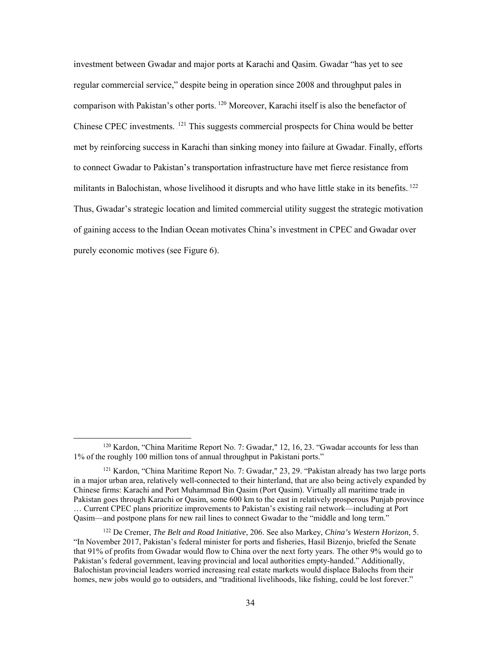investment between Gwadar and major ports at Karachi and Qasim. Gwadar "has yet to see regular commercial service," despite being in operation since 2008 and throughput pales in comparison with Pakistan's other ports. <sup>120</sup> Moreover, Karachi itself is also the benefactor of Chinese CPEC investments. <sup>121</sup> This suggests commercial prospects for China would be better met by reinforcing success in Karachi than sinking money into failure at Gwadar. Finally, efforts to connect Gwadar to Pakistan's transportation infrastructure have met fierce resistance from militants in Balochistan, whose livelihood it disrupts and who have little stake in its benefits.<sup>122</sup> Thus, Gwadar's strategic location and limited commercial utility suggest the strategic motivation of gaining access to the Indian Ocean motivates China's investment in CPEC and Gwadar over purely economic motives (see Figure 6).

<sup>120</sup> Kardon, "China Maritime Report No. 7: Gwadar," 12, 16, 23. "Gwadar accounts for less than 1% of the roughly 100 million tons of annual throughput in Pakistani ports."

<sup>&</sup>lt;sup>121</sup> Kardon, "China Maritime Report No. 7: Gwadar," 23, 29. "Pakistan already has two large ports in a major urban area, relatively well-connected to their hinterland, that are also being actively expanded by Chinese firms: Karachi and Port Muhammad Bin Qasim (Port Qasim). Virtually all maritime trade in Pakistan goes through Karachi or Qasim, some 600 km to the east in relatively prosperous Punjab province … Current CPEC plans prioritize improvements to Pakistan's existing rail network—including at Port Qasim—and postpone plans for new rail lines to connect Gwadar to the "middle and long term."

<sup>122</sup> De Cremer, *The Belt and Road Initiative*, 206. See also Markey, *China's Western Horizon*, 5. "In November 2017, Pakistan's federal minister for ports and fisheries, Hasil Bizenjo, briefed the Senate that 91% of profits from Gwadar would flow to China over the next forty years. The other 9% would go to Pakistan's federal government, leaving provincial and local authorities empty-handed." Additionally, Balochistan provincial leaders worried increasing real estate markets would displace Balochs from their homes, new jobs would go to outsiders, and "traditional livelihoods, like fishing, could be lost forever."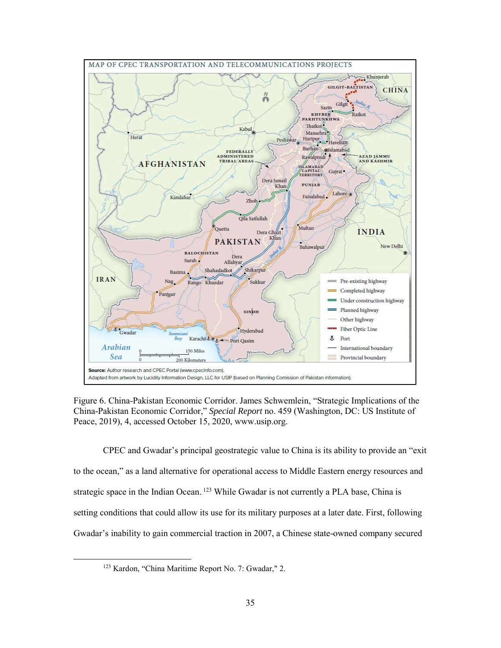

Figure 6. China-Pakistan Economic Corridor. James Schwemlein, "Strategic Implications of the China-Pakistan Economic Corridor," *Special Report* no. 459 (Washington, DC: US Institute of Peace, 2019), 4, accessed October 15, 2020, www.usip.org.

CPEC and Gwadar's principal geostrategic value to China is its ability to provide an "exit to the ocean," as a land alternative for operational access to Middle Eastern energy resources and strategic space in the Indian Ocean.<sup>123</sup> While Gwadar is not currently a PLA base, China is setting conditions that could allow its use for its military purposes at a later date. First, following Gwadar's inability to gain commercial traction in 2007, a Chinese state-owned company secured

<sup>123</sup> Kardon, "China Maritime Report No. 7: Gwadar," 2.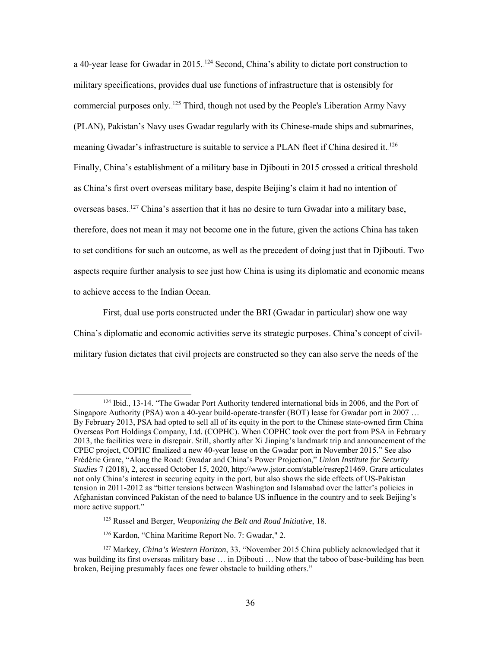a 40-year lease for Gwadar in 2015. <sup>124</sup> Second, China's ability to dictate port construction to military specifications, provides dual use functions of infrastructure that is ostensibly for commercial purposes only.<sup>125</sup> Third, though not used by the People's Liberation Army Navy (PLAN), Pakistan's Navy uses Gwadar regularly with its Chinese-made ships and submarines, meaning Gwadar's infrastructure is suitable to service a PLAN fleet if China desired it.<sup>126</sup> Finally, China's establishment of a military base in Djibouti in 2015 crossed a critical threshold as China's first overt overseas military base, despite Beijing's claim it had no intention of overseas bases.<sup>127</sup> China's assertion that it has no desire to turn Gwadar into a military base, therefore, does not mean it may not become one in the future, given the actions China has taken to set conditions for such an outcome, as well as the precedent of doing just that in Djibouti. Two aspects require further analysis to see just how China is using its diplomatic and economic means to achieve access to the Indian Ocean.

First, dual use ports constructed under the BRI (Gwadar in particular) show one way China's diplomatic and economic activities serve its strategic purposes. China's concept of civilmilitary fusion dictates that civil projects are constructed so they can also serve the needs of the

<sup>124</sup> Ibid., 13-14. "The Gwadar Port Authority tendered international bids in 2006, and the Port of Singapore Authority (PSA) won a 40-year build-operate-transfer (BOT) lease for Gwadar port in 2007 … By February 2013, PSA had opted to sell all of its equity in the port to the Chinese state-owned firm China Overseas Port Holdings Company, Ltd. (COPHC). When COPHC took over the port from PSA in February 2013, the facilities were in disrepair. Still, shortly after Xi Jinping's landmark trip and announcement of the CPEC project, COPHC finalized a new 40-year lease on the Gwadar port in November 2015." See also Frédéric Grare, "Along the Road: Gwadar and China's Power Projection," *Union Institute for Security Studies* 7 (2018), 2, accessed October 15, 2020, http://www.jstor.com/stable/resrep21469. Grare articulates not only China's interest in securing equity in the port, but also shows the side effects of US-Pakistan tension in 2011-2012 as "bitter tensions between Washington and Islamabad over the latter's policies in Afghanistan convinced Pakistan of the need to balance US influence in the country and to seek Beijing's more active support."

<sup>125</sup> Russel and Berger, *Weaponizing the Belt and Road Initiative*, 18.

<sup>126</sup> Kardon, "China Maritime Report No. 7: Gwadar," 2.

<sup>127</sup> Markey, *China's Western Horizon*, 33. "November 2015 China publicly acknowledged that it was building its first overseas military base … in Djibouti … Now that the taboo of base-building has been broken, Beijing presumably faces one fewer obstacle to building others."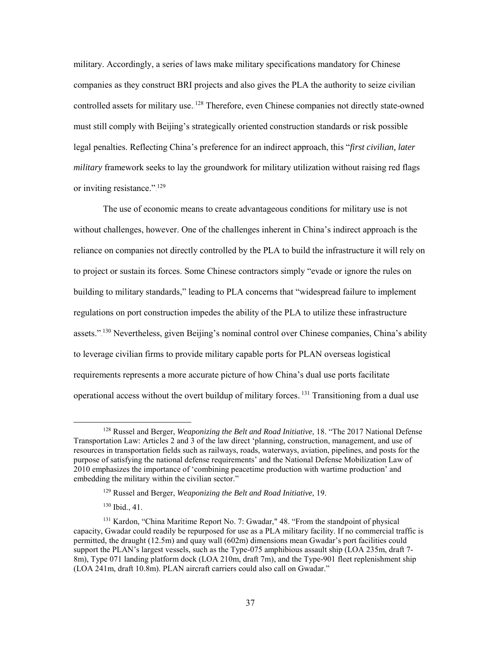military. Accordingly, a series of laws make military specifications mandatory for Chinese companies as they construct BRI projects and also gives the PLA the authority to seize civilian controlled assets for military use.<sup>128</sup> Therefore, even Chinese companies not directly state-owned must still comply with Beijing's strategically oriented construction standards or risk possible legal penalties. Reflecting China's preference for an indirect approach, this "*first civilian, later military* framework seeks to lay the groundwork for military utilization without raising red flags or inviting resistance."<sup>129</sup>

The use of economic means to create advantageous conditions for military use is not without challenges, however. One of the challenges inherent in China's indirect approach is the reliance on companies not directly controlled by the PLA to build the infrastructure it will rely on to project or sustain its forces. Some Chinese contractors simply "evade or ignore the rules on building to military standards," leading to PLA concerns that "widespread failure to implement regulations on port construction impedes the ability of the PLA to utilize these infrastructure assets."<sup>130</sup> Nevertheless, given Beijing's nominal control over Chinese companies, China's ability to leverage civilian firms to provide military capable ports for PLAN overseas logistical requirements represents a more accurate picture of how China's dual use ports facilitate operational access without the overt buildup of military forces. <sup>131</sup> Transitioning from a dual use

 $\overline{a}$ 

<sup>128</sup> Russel and Berger, *Weaponizing the Belt and Road Initiative*, 18. "The 2017 National Defense Transportation Law: Articles 2 and 3 of the law direct 'planning, construction, management, and use of resources in transportation fields such as railways, roads, waterways, aviation, pipelines, and posts for the purpose of satisfying the national defense requirements' and the National Defense Mobilization Law of 2010 emphasizes the importance of 'combining peacetime production with wartime production' and embedding the military within the civilian sector."

<sup>129</sup> Russel and Berger, *Weaponizing the Belt and Road Initiative*, 19.

<sup>130</sup> Ibid., 41.

<sup>131</sup> Kardon, "China Maritime Report No. 7: Gwadar," 48. "From the standpoint of physical capacity, Gwadar could readily be repurposed for use as a PLA military facility. If no commercial traffic is permitted, the draught (12.5m) and quay wall (602m) dimensions mean Gwadar's port facilities could support the PLAN's largest vessels, such as the Type-075 amphibious assault ship (LOA 235m, draft 7-8m), Type 071 landing platform dock (LOA 210m, draft 7m), and the Type-901 fleet replenishment ship (LOA 241m, draft 10.8m). PLAN aircraft carriers could also call on Gwadar."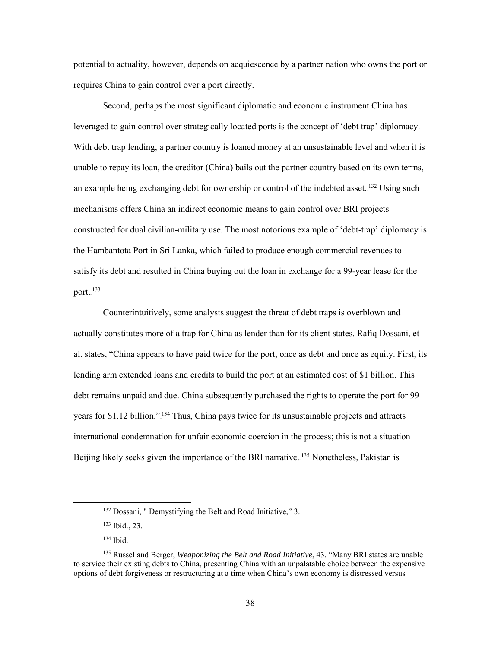potential to actuality, however, depends on acquiescence by a partner nation who owns the port or requires China to gain control over a port directly.

 Second, perhaps the most significant diplomatic and economic instrument China has leveraged to gain control over strategically located ports is the concept of 'debt trap' diplomacy. With debt trap lending, a partner country is loaned money at an unsustainable level and when it is unable to repay its loan, the creditor (China) bails out the partner country based on its own terms, an example being exchanging debt for ownership or control of the indebted asset.<sup>132</sup> Using such mechanisms offers China an indirect economic means to gain control over BRI projects constructed for dual civilian-military use. The most notorious example of 'debt-trap' diplomacy is the Hambantota Port in Sri Lanka, which failed to produce enough commercial revenues to satisfy its debt and resulted in China buying out the loan in exchange for a 99-year lease for the port. <sup>133</sup>

Counterintuitively, some analysts suggest the threat of debt traps is overblown and actually constitutes more of a trap for China as lender than for its client states. Rafiq Dossani, et al. states, "China appears to have paid twice for the port, once as debt and once as equity. First, its lending arm extended loans and credits to build the port at an estimated cost of \$1 billion. This debt remains unpaid and due. China subsequently purchased the rights to operate the port for 99 years for \$1.12 billion."<sup>134</sup> Thus, China pays twice for its unsustainable projects and attracts international condemnation for unfair economic coercion in the process; this is not a situation Beijing likely seeks given the importance of the BRI narrative.<sup>135</sup> Nonetheless, Pakistan is

<sup>132</sup> Dossani, " Demystifying the Belt and Road Initiative," 3.

<sup>133</sup> Ibid., 23.

<sup>134</sup> Ibid.

<sup>135</sup> Russel and Berger, *Weaponizing the Belt and Road Initiative*, 43. "Many BRI states are unable to service their existing debts to China, presenting China with an unpalatable choice between the expensive options of debt forgiveness or restructuring at a time when China's own economy is distressed versus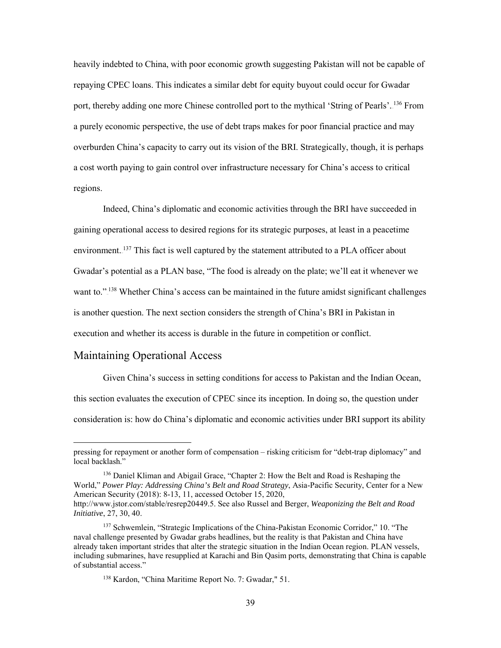heavily indebted to China, with poor economic growth suggesting Pakistan will not be capable of repaying CPEC loans. This indicates a similar debt for equity buyout could occur for Gwadar port, thereby adding one more Chinese controlled port to the mythical 'String of Pearls'. <sup>136</sup> From a purely economic perspective, the use of debt traps makes for poor financial practice and may overburden China's capacity to carry out its vision of the BRI. Strategically, though, it is perhaps a cost worth paying to gain control over infrastructure necessary for China's access to critical regions.

 Indeed, China's diplomatic and economic activities through the BRI have succeeded in gaining operational access to desired regions for its strategic purposes, at least in a peacetime environment.<sup>137</sup> This fact is well captured by the statement attributed to a PLA officer about Gwadar's potential as a PLAN base, "The food is already on the plate; we'll eat it whenever we want to.".<sup>138</sup> Whether China's access can be maintained in the future amidst significant challenges is another question. The next section considers the strength of China's BRI in Pakistan in execution and whether its access is durable in the future in competition or conflict.

### <span id="page-46-0"></span>Maintaining Operational Access

l

Given China's success in setting conditions for access to Pakistan and the Indian Ocean, this section evaluates the execution of CPEC since its inception. In doing so, the question under consideration is: how do China's diplomatic and economic activities under BRI support its ability

pressing for repayment or another form of compensation – risking criticism for "debt-trap diplomacy" and local backlash."

<sup>136</sup> Daniel Kliman and Abigail Grace, "Chapter 2: How the Belt and Road is Reshaping the World," *Power Play: Addressing China's Belt and Road Strategy*, Asia-Pacific Security, Center for a New American Security (2018): 8-13, 11, accessed October 15, 2020, http://www.jstor.com/stable/resrep20449.5. See also Russel and Berger, *Weaponizing the Belt and Road* 

*Initiative*, 27, 30, 40. <sup>137</sup> Schwemlein, "Strategic Implications of the China-Pakistan Economic Corridor," 10. "The

naval challenge presented by Gwadar grabs headlines, but the reality is that Pakistan and China have already taken important strides that alter the strategic situation in the Indian Ocean region. PLAN vessels, including submarines, have resupplied at Karachi and Bin Qasim ports, demonstrating that China is capable of substantial access."

<sup>138</sup> Kardon, "China Maritime Report No. 7: Gwadar," 51.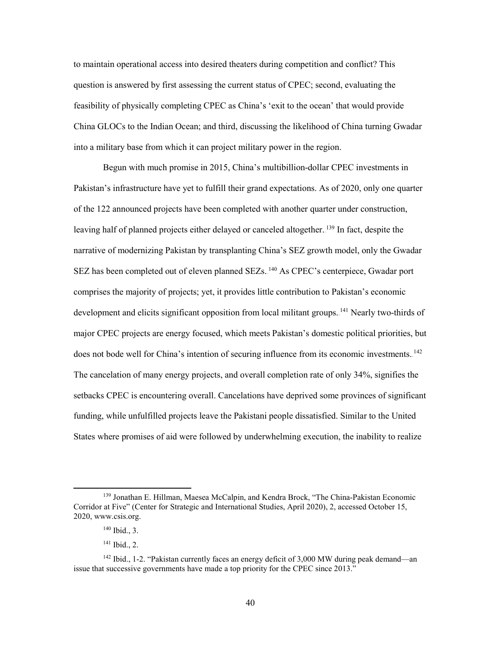to maintain operational access into desired theaters during competition and conflict? This question is answered by first assessing the current status of CPEC; second, evaluating the feasibility of physically completing CPEC as China's 'exit to the ocean' that would provide China GLOCs to the Indian Ocean; and third, discussing the likelihood of China turning Gwadar into a military base from which it can project military power in the region.

Begun with much promise in 2015, China's multibillion-dollar CPEC investments in Pakistan's infrastructure have yet to fulfill their grand expectations. As of 2020, only one quarter of the 122 announced projects have been completed with another quarter under construction, leaving half of planned projects either delayed or canceled altogether. <sup>139</sup> In fact, despite the narrative of modernizing Pakistan by transplanting China's SEZ growth model, only the Gwadar SEZ has been completed out of eleven planned SEZs.<sup>140</sup> As CPEC's centerpiece, Gwadar port comprises the majority of projects; yet, it provides little contribution to Pakistan's economic development and elicits significant opposition from local militant groups. <sup>141</sup> Nearly two-thirds of major CPEC projects are energy focused, which meets Pakistan's domestic political priorities, but does not bode well for China's intention of securing influence from its economic investments.<sup>142</sup> The cancelation of many energy projects, and overall completion rate of only 34%, signifies the setbacks CPEC is encountering overall. Cancelations have deprived some provinces of significant funding, while unfulfilled projects leave the Pakistani people dissatisfied. Similar to the United States where promises of aid were followed by underwhelming execution, the inability to realize

<sup>139</sup> Jonathan E. Hillman, Maesea McCalpin, and Kendra Brock, "The China-Pakistan Economic Corridor at Five" (Center for Strategic and International Studies, April 2020), 2, accessed October 15, 2020, www.csis.org.

<sup>140</sup> Ibid., 3.

<sup>141</sup> Ibid., 2.

 $142$  Ibid., 1-2. "Pakistan currently faces an energy deficit of 3,000 MW during peak demand—an issue that successive governments have made a top priority for the CPEC since 2013."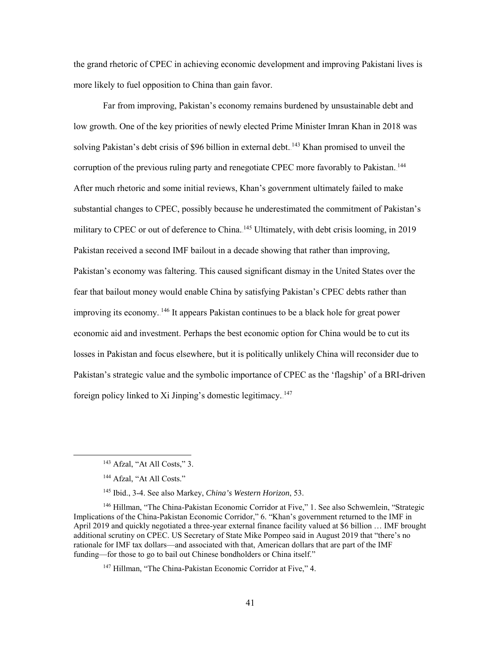the grand rhetoric of CPEC in achieving economic development and improving Pakistani lives is more likely to fuel opposition to China than gain favor.

Far from improving, Pakistan's economy remains burdened by unsustainable debt and low growth. One of the key priorities of newly elected Prime Minister Imran Khan in 2018 was solving Pakistan's debt crisis of \$96 billion in external debt.<sup>143</sup> Khan promised to unveil the corruption of the previous ruling party and renegotiate CPEC more favorably to Pakistan.<sup>144</sup> After much rhetoric and some initial reviews, Khan's government ultimately failed to make substantial changes to CPEC, possibly because he underestimated the commitment of Pakistan's military to CPEC or out of deference to China. <sup>145</sup> Ultimately, with debt crisis looming, in 2019 Pakistan received a second IMF bailout in a decade showing that rather than improving, Pakistan's economy was faltering. This caused significant dismay in the United States over the fear that bailout money would enable China by satisfying Pakistan's CPEC debts rather than improving its economy. <sup>146</sup> It appears Pakistan continues to be a black hole for great power economic aid and investment. Perhaps the best economic option for China would be to cut its losses in Pakistan and focus elsewhere, but it is politically unlikely China will reconsider due to Pakistan's strategic value and the symbolic importance of CPEC as the 'flagship' of a BRI-driven foreign policy linked to Xi Jinping's domestic legitimacy.<sup>147</sup>

<sup>143</sup> Afzal, "At All Costs," 3.

<sup>&</sup>lt;sup>144</sup> Afzal, "At All Costs."

<sup>145</sup> Ibid., 3-4. See also Markey, *China's Western Horizon*, 53.

<sup>146</sup> Hillman, "The China-Pakistan Economic Corridor at Five," 1. See also Schwemlein, "Strategic Implications of the China-Pakistan Economic Corridor," 6. "Khan's government returned to the IMF in April 2019 and quickly negotiated a three-year external finance facility valued at \$6 billion … IMF brought additional scrutiny on CPEC. US Secretary of State Mike Pompeo said in August 2019 that "there's no rationale for IMF tax dollars—and associated with that, American dollars that are part of the IMF funding—for those to go to bail out Chinese bondholders or China itself."

<sup>&</sup>lt;sup>147</sup> Hillman, "The China-Pakistan Economic Corridor at Five," 4.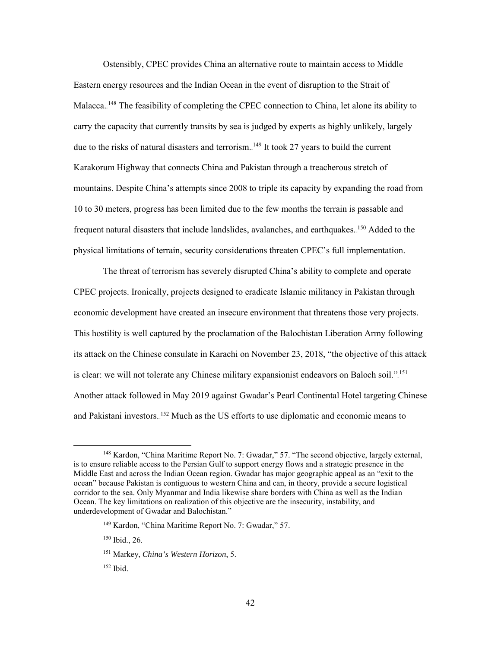Ostensibly, CPEC provides China an alternative route to maintain access to Middle Eastern energy resources and the Indian Ocean in the event of disruption to the Strait of Malacca. <sup>148</sup> The feasibility of completing the CPEC connection to China, let alone its ability to carry the capacity that currently transits by sea is judged by experts as highly unlikely, largely due to the risks of natural disasters and terrorism.<sup>149</sup> It took 27 years to build the current Karakorum Highway that connects China and Pakistan through a treacherous stretch of mountains. Despite China's attempts since 2008 to triple its capacity by expanding the road from 10 to 30 meters, progress has been limited due to the few months the terrain is passable and frequent natural disasters that include landslides, avalanches, and earthquakes. <sup>150</sup> Added to the physical limitations of terrain, security considerations threaten CPEC's full implementation.

The threat of terrorism has severely disrupted China's ability to complete and operate CPEC projects. Ironically, projects designed to eradicate Islamic militancy in Pakistan through economic development have created an insecure environment that threatens those very projects. This hostility is well captured by the proclamation of the Balochistan Liberation Army following its attack on the Chinese consulate in Karachi on November 23, 2018, "the objective of this attack is clear: we will not tolerate any Chinese military expansionist endeavors on Baloch soil.".<sup>151</sup> Another attack followed in May 2019 against Gwadar's Pearl Continental Hotel targeting Chinese and Pakistani investors. <sup>152</sup> Much as the US efforts to use diplomatic and economic means to

<sup>&</sup>lt;sup>148</sup> Kardon, "China Maritime Report No. 7: Gwadar," 57. "The second objective, largely external, is to ensure reliable access to the Persian Gulf to support energy flows and a strategic presence in the Middle East and across the Indian Ocean region. Gwadar has major geographic appeal as an "exit to the ocean" because Pakistan is contiguous to western China and can, in theory, provide a secure logistical corridor to the sea. Only Myanmar and India likewise share borders with China as well as the Indian Ocean. The key limitations on realization of this objective are the insecurity, instability, and underdevelopment of Gwadar and Balochistan."

<sup>149</sup> Kardon, "China Maritime Report No. 7: Gwadar," 57.

<sup>150</sup> Ibid., 26.

<sup>151</sup> Markey, *China's Western Horizon*, 5.

<sup>152</sup> Ibid.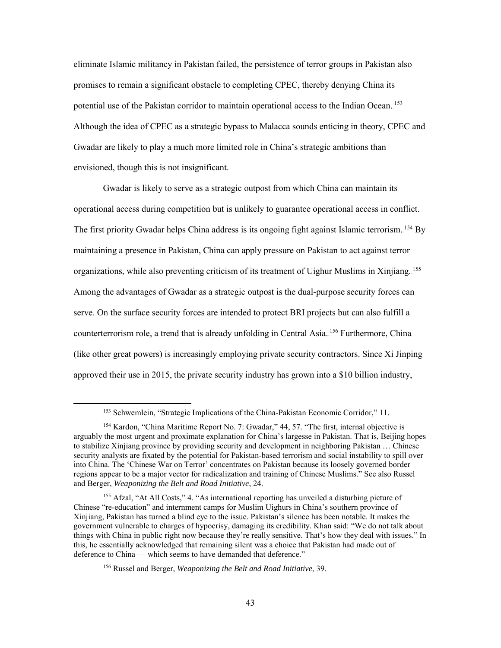eliminate Islamic militancy in Pakistan failed, the persistence of terror groups in Pakistan also promises to remain a significant obstacle to completing CPEC, thereby denying China its potential use of the Pakistan corridor to maintain operational access to the Indian Ocean. <sup>153</sup> Although the idea of CPEC as a strategic bypass to Malacca sounds enticing in theory, CPEC and Gwadar are likely to play a much more limited role in China's strategic ambitions than envisioned, though this is not insignificant.

Gwadar is likely to serve as a strategic outpost from which China can maintain its operational access during competition but is unlikely to guarantee operational access in conflict. The first priority Gwadar helps China address is its ongoing fight against Islamic terrorism. <sup>154</sup> By maintaining a presence in Pakistan, China can apply pressure on Pakistan to act against terror organizations, while also preventing criticism of its treatment of Uighur Muslims in Xinjiang.<sup>155</sup> Among the advantages of Gwadar as a strategic outpost is the dual-purpose security forces can serve. On the surface security forces are intended to protect BRI projects but can also fulfill a counterterrorism role, a trend that is already unfolding in Central Asia.<sup>156</sup> Furthermore, China (like other great powers) is increasingly employing private security contractors. Since Xi Jinping approved their use in 2015, the private security industry has grown into a \$10 billion industry,

<sup>153</sup> Schwemlein, "Strategic Implications of the China-Pakistan Economic Corridor," 11.

<sup>&</sup>lt;sup>154</sup> Kardon, "China Maritime Report No. 7: Gwadar," 44, 57. "The first, internal objective is arguably the most urgent and proximate explanation for China's largesse in Pakistan. That is, Beijing hopes to stabilize Xinjiang province by providing security and development in neighboring Pakistan … Chinese security analysts are fixated by the potential for Pakistan-based terrorism and social instability to spill over into China. The 'Chinese War on Terror' concentrates on Pakistan because its loosely governed border regions appear to be a major vector for radicalization and training of Chinese Muslims." See also Russel and Berger, *Weaponizing the Belt and Road Initiative*, 24.

<sup>155</sup> Afzal, "At All Costs," 4. "As international reporting has unveiled a disturbing picture of Chinese "re-education" and internment camps for Muslim Uighurs in China's southern province of Xinjiang, Pakistan has turned a blind eye to the issue. Pakistan's silence has been notable. It makes the government vulnerable to charges of hypocrisy, damaging its credibility. Khan said: "We do not talk about things with China in public right now because they're really sensitive. That's how they deal with issues." In this, he essentially acknowledged that remaining silent was a choice that Pakistan had made out of deference to China — which seems to have demanded that deference."

<sup>156</sup> Russel and Berger, *Weaponizing the Belt and Road Initiative*, 39.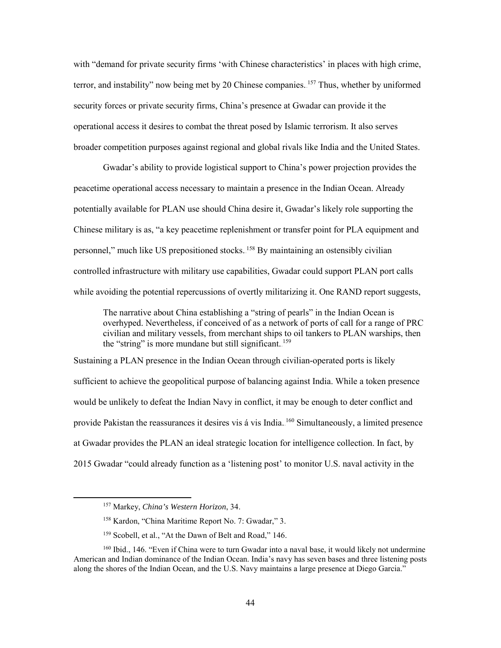with "demand for private security firms 'with Chinese characteristics' in places with high crime, terror, and instability" now being met by 20 Chinese companies. <sup>157</sup> Thus, whether by uniformed security forces or private security firms, China's presence at Gwadar can provide it the operational access it desires to combat the threat posed by Islamic terrorism. It also serves broader competition purposes against regional and global rivals like India and the United States.

Gwadar's ability to provide logistical support to China's power projection provides the peacetime operational access necessary to maintain a presence in the Indian Ocean. Already potentially available for PLAN use should China desire it, Gwadar's likely role supporting the Chinese military is as, "a key peacetime replenishment or transfer point for PLA equipment and personnel," much like US prepositioned stocks.<sup>158</sup> By maintaining an ostensibly civilian controlled infrastructure with military use capabilities, Gwadar could support PLAN port calls while avoiding the potential repercussions of overtly militarizing it. One RAND report suggests,

The narrative about China establishing a "string of pearls" in the Indian Ocean is overhyped. Nevertheless, if conceived of as a network of ports of call for a range of PRC civilian and military vessels, from merchant ships to oil tankers to PLAN warships, then the "string" is more mundane but still significant.<sup>159</sup>

Sustaining a PLAN presence in the Indian Ocean through civilian-operated ports is likely sufficient to achieve the geopolitical purpose of balancing against India. While a token presence would be unlikely to defeat the Indian Navy in conflict, it may be enough to deter conflict and provide Pakistan the reassurances it desires vis á vis India. <sup>160</sup> Simultaneously, a limited presence at Gwadar provides the PLAN an ideal strategic location for intelligence collection. In fact, by 2015 Gwadar "could already function as a 'listening post' to monitor U.S. naval activity in the

<sup>157</sup> Markey, *China's Western Horizon*, 34.

<sup>158</sup> Kardon, "China Maritime Report No. 7: Gwadar," 3.

<sup>&</sup>lt;sup>159</sup> Scobell, et al., "At the Dawn of Belt and Road," 146.

<sup>&</sup>lt;sup>160</sup> Ibid., 146. "Even if China were to turn Gwadar into a naval base, it would likely not undermine American and Indian dominance of the Indian Ocean. India's navy has seven bases and three listening posts along the shores of the Indian Ocean, and the U.S. Navy maintains a large presence at Diego Garcia."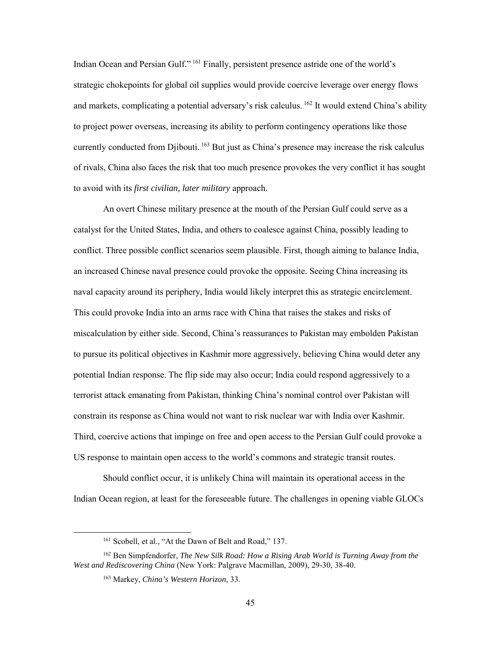Indian Ocean and Persian Gulf."<sup>161</sup> Finally, persistent presence astride one of the world's strategic chokepoints for global oil supplies would provide coercive leverage over energy flows and markets, complicating a potential adversary's risk calculus. <sup>162</sup> It would extend China's ability to project power overseas, increasing its ability to perform contingency operations like those currently conducted from Djibouti.<sup>163</sup> But just as China's presence may increase the risk calculus of rivals, China also faces the risk that too much presence provokes the very conflict it has sought to avoid with its *first civilian, later military* approach.

An overt Chinese military presence at the mouth of the Persian Gulf could serve as a catalyst for the United States, India, and others to coalesce against China, possibly leading to conflict. Three possible conflict scenarios seem plausible. First, though aiming to balance India, an increased Chinese naval presence could provoke the opposite. Seeing China increasing its naval capacity around its periphery, India would likely interpret this as strategic encirclement. This could provoke India into an arms race with China that raises the stakes and risks of miscalculation by either side. Second, China's reassurances to Pakistan may embolden Pakistan to pursue its political objectives in Kashmir more aggressively, believing China would deter any potential Indian response. The flip side may also occur; India could respond aggressively to a terrorist attack emanating from Pakistan, thinking China's nominal control over Pakistan will constrain its response as China would not want to risk nuclear war with India over Kashmir. Third, coercive actions that impinge on free and open access to the Persian Gulf could provoke a US response to maintain open access to the world's commons and strategic transit routes.

Should conflict occur, it is unlikely China will maintain its operational access in the Indian Ocean region, at least for the foreseeable future. The challenges in opening viable GLOCs

<sup>&</sup>lt;sup>161</sup> Scobell, et al., "At the Dawn of Belt and Road," 137.

<sup>162</sup> Ben Simpfendorfer, *The New Silk Road: How a Rising Arab World is Turning Away from the West and Rediscovering China* (New York: Palgrave Macmillan, 2009), 29-30, 38-40.

<sup>163</sup> Markey, *China's Western Horizon*, 33.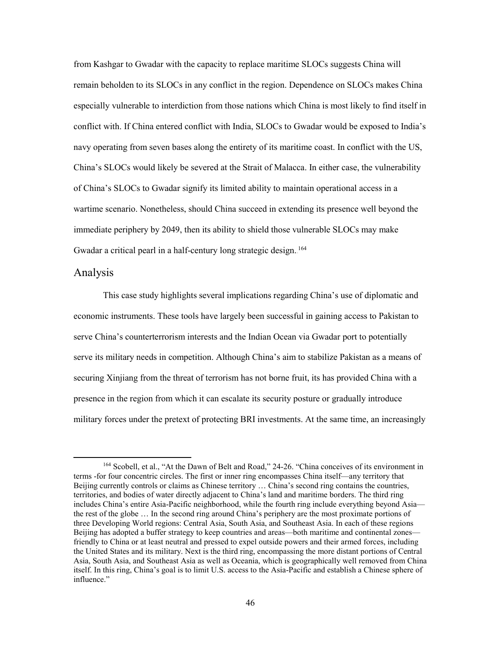from Kashgar to Gwadar with the capacity to replace maritime SLOCs suggests China will remain beholden to its SLOCs in any conflict in the region. Dependence on SLOCs makes China especially vulnerable to interdiction from those nations which China is most likely to find itself in conflict with. If China entered conflict with India, SLOCs to Gwadar would be exposed to India's navy operating from seven bases along the entirety of its maritime coast. In conflict with the US, China's SLOCs would likely be severed at the Strait of Malacca. In either case, the vulnerability of China's SLOCs to Gwadar signify its limited ability to maintain operational access in a wartime scenario. Nonetheless, should China succeed in extending its presence well beyond the immediate periphery by 2049, then its ability to shield those vulnerable SLOCs may make Gwadar a critical pearl in a half-century long strategic design.<sup>164</sup>

#### <span id="page-53-0"></span>Analysis

l

This case study highlights several implications regarding China's use of diplomatic and economic instruments. These tools have largely been successful in gaining access to Pakistan to serve China's counterterrorism interests and the Indian Ocean via Gwadar port to potentially serve its military needs in competition. Although China's aim to stabilize Pakistan as a means of securing Xinjiang from the threat of terrorism has not borne fruit, its has provided China with a presence in the region from which it can escalate its security posture or gradually introduce military forces under the pretext of protecting BRI investments. At the same time, an increasingly

<sup>&</sup>lt;sup>164</sup> Scobell, et al., "At the Dawn of Belt and Road," 24-26. "China conceives of its environment in terms -for four concentric circles. The first or inner ring encompasses China itself—any territory that Beijing currently controls or claims as Chinese territory … China's second ring contains the countries, territories, and bodies of water directly adjacent to China's land and maritime borders. The third ring includes China's entire Asia-Pacific neighborhood, while the fourth ring include everything beyond Asia the rest of the globe … In the second ring around China's periphery are the most proximate portions of three Developing World regions: Central Asia, South Asia, and Southeast Asia. In each of these regions Beijing has adopted a buffer strategy to keep countries and areas—both maritime and continental zones friendly to China or at least neutral and pressed to expel outside powers and their armed forces, including the United States and its military. Next is the third ring, encompassing the more distant portions of Central Asia, South Asia, and Southeast Asia as well as Oceania, which is geographically well removed from China itself. In this ring, China's goal is to limit U.S. access to the Asia-Pacific and establish a Chinese sphere of influence."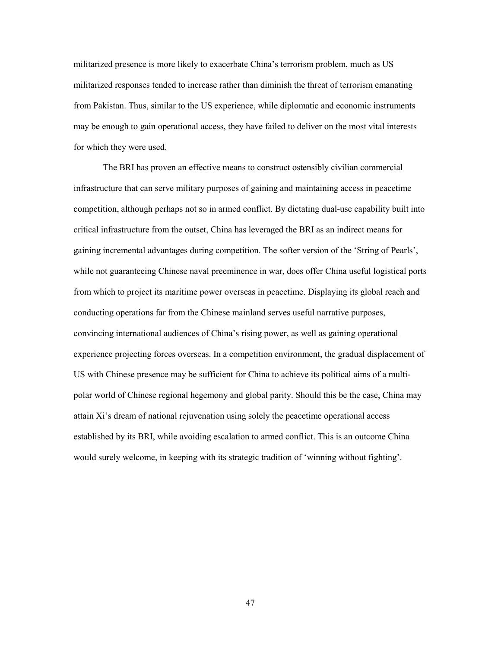militarized presence is more likely to exacerbate China's terrorism problem, much as US militarized responses tended to increase rather than diminish the threat of terrorism emanating from Pakistan. Thus, similar to the US experience, while diplomatic and economic instruments may be enough to gain operational access, they have failed to deliver on the most vital interests for which they were used.

 The BRI has proven an effective means to construct ostensibly civilian commercial infrastructure that can serve military purposes of gaining and maintaining access in peacetime competition, although perhaps not so in armed conflict. By dictating dual-use capability built into critical infrastructure from the outset, China has leveraged the BRI as an indirect means for gaining incremental advantages during competition. The softer version of the 'String of Pearls', while not guaranteeing Chinese naval preeminence in war, does offer China useful logistical ports from which to project its maritime power overseas in peacetime. Displaying its global reach and conducting operations far from the Chinese mainland serves useful narrative purposes, convincing international audiences of China's rising power, as well as gaining operational experience projecting forces overseas. In a competition environment, the gradual displacement of US with Chinese presence may be sufficient for China to achieve its political aims of a multipolar world of Chinese regional hegemony and global parity. Should this be the case, China may attain Xi's dream of national rejuvenation using solely the peacetime operational access established by its BRI, while avoiding escalation to armed conflict. This is an outcome China would surely welcome, in keeping with its strategic tradition of 'winning without fighting'.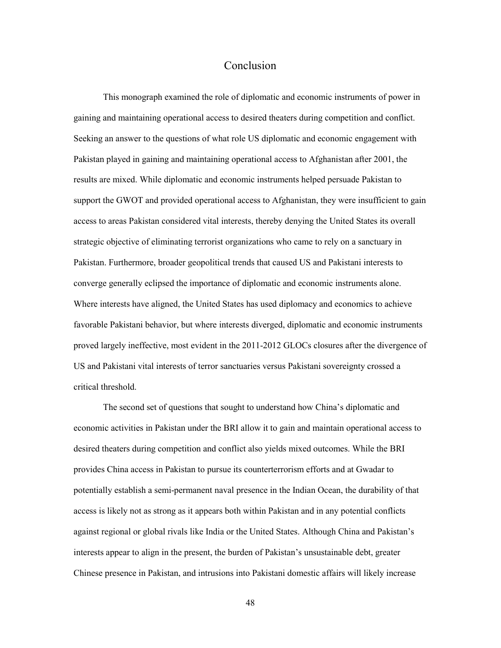#### Conclusion

<span id="page-55-0"></span>This monograph examined the role of diplomatic and economic instruments of power in gaining and maintaining operational access to desired theaters during competition and conflict. Seeking an answer to the questions of what role US diplomatic and economic engagement with Pakistan played in gaining and maintaining operational access to Afghanistan after 2001, the results are mixed. While diplomatic and economic instruments helped persuade Pakistan to support the GWOT and provided operational access to Afghanistan, they were insufficient to gain access to areas Pakistan considered vital interests, thereby denying the United States its overall strategic objective of eliminating terrorist organizations who came to rely on a sanctuary in Pakistan. Furthermore, broader geopolitical trends that caused US and Pakistani interests to converge generally eclipsed the importance of diplomatic and economic instruments alone. Where interests have aligned, the United States has used diplomacy and economics to achieve favorable Pakistani behavior, but where interests diverged, diplomatic and economic instruments proved largely ineffective, most evident in the 2011-2012 GLOCs closures after the divergence of US and Pakistani vital interests of terror sanctuaries versus Pakistani sovereignty crossed a critical threshold.

The second set of questions that sought to understand how China's diplomatic and economic activities in Pakistan under the BRI allow it to gain and maintain operational access to desired theaters during competition and conflict also yields mixed outcomes. While the BRI provides China access in Pakistan to pursue its counterterrorism efforts and at Gwadar to potentially establish a semi-permanent naval presence in the Indian Ocean, the durability of that access is likely not as strong as it appears both within Pakistan and in any potential conflicts against regional or global rivals like India or the United States. Although China and Pakistan's interests appear to align in the present, the burden of Pakistan's unsustainable debt, greater Chinese presence in Pakistan, and intrusions into Pakistani domestic affairs will likely increase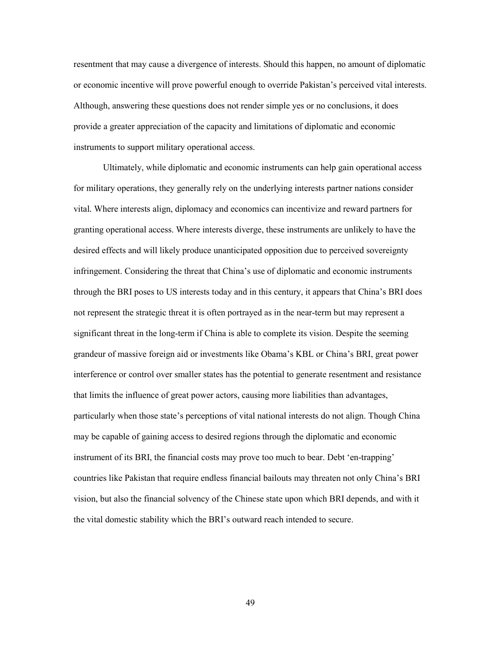resentment that may cause a divergence of interests. Should this happen, no amount of diplomatic or economic incentive will prove powerful enough to override Pakistan's perceived vital interests. Although, answering these questions does not render simple yes or no conclusions, it does provide a greater appreciation of the capacity and limitations of diplomatic and economic instruments to support military operational access.

Ultimately, while diplomatic and economic instruments can help gain operational access for military operations, they generally rely on the underlying interests partner nations consider vital*.* Where interests align, diplomacy and economics can incentivize and reward partners for granting operational access. Where interests diverge, these instruments are unlikely to have the desired effects and will likely produce unanticipated opposition due to perceived sovereignty infringement. Considering the threat that China's use of diplomatic and economic instruments through the BRI poses to US interests today and in this century, it appears that China's BRI does not represent the strategic threat it is often portrayed as in the near-term but may represent a significant threat in the long-term if China is able to complete its vision. Despite the seeming grandeur of massive foreign aid or investments like Obama's KBL or China's BRI, great power interference or control over smaller states has the potential to generate resentment and resistance that limits the influence of great power actors, causing more liabilities than advantages, particularly when those state's perceptions of vital national interests do not align. Though China may be capable of gaining access to desired regions through the diplomatic and economic instrument of its BRI, the financial costs may prove too much to bear. Debt 'en-trapping' countries like Pakistan that require endless financial bailouts may threaten not only China's BRI vision, but also the financial solvency of the Chinese state upon which BRI depends, and with it the vital domestic stability which the BRI's outward reach intended to secure.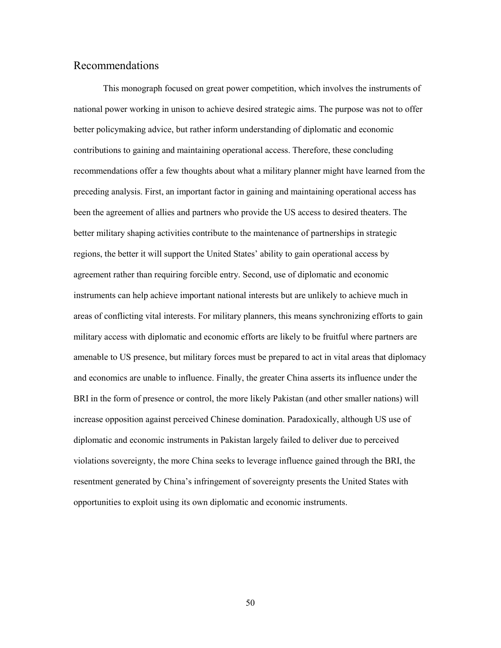### <span id="page-57-0"></span>Recommendations

 This monograph focused on great power competition, which involves the instruments of national power working in unison to achieve desired strategic aims. The purpose was not to offer better policymaking advice, but rather inform understanding of diplomatic and economic contributions to gaining and maintaining operational access. Therefore, these concluding recommendations offer a few thoughts about what a military planner might have learned from the preceding analysis. First, an important factor in gaining and maintaining operational access has been the agreement of allies and partners who provide the US access to desired theaters. The better military shaping activities contribute to the maintenance of partnerships in strategic regions, the better it will support the United States' ability to gain operational access by agreement rather than requiring forcible entry. Second, use of diplomatic and economic instruments can help achieve important national interests but are unlikely to achieve much in areas of conflicting vital interests. For military planners, this means synchronizing efforts to gain military access with diplomatic and economic efforts are likely to be fruitful where partners are amenable to US presence, but military forces must be prepared to act in vital areas that diplomacy and economics are unable to influence. Finally, the greater China asserts its influence under the BRI in the form of presence or control, the more likely Pakistan (and other smaller nations) will increase opposition against perceived Chinese domination. Paradoxically, although US use of diplomatic and economic instruments in Pakistan largely failed to deliver due to perceived violations sovereignty, the more China seeks to leverage influence gained through the BRI, the resentment generated by China's infringement of sovereignty presents the United States with opportunities to exploit using its own diplomatic and economic instruments.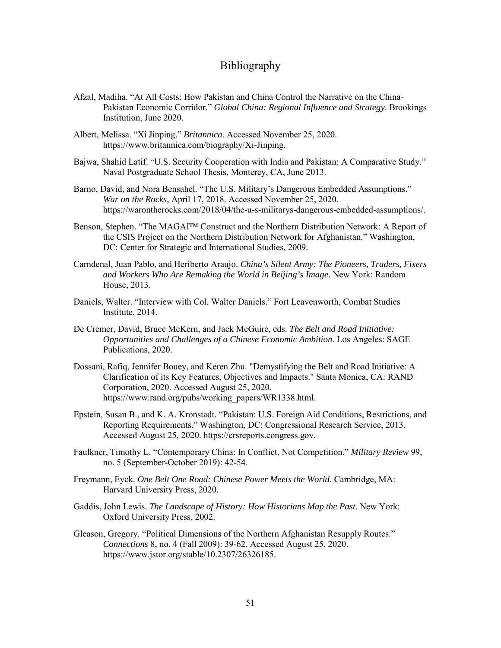### Bibliography

- <span id="page-58-0"></span>Afzal, Madiha. "At All Costs: How Pakistan and China Control the Narrative on the China-Pakistan Economic Corridor." *Global China: Regional Influence and Strategy*. Brookings Institution, June 2020.
- Albert, Melissa. "Xi Jinping." *Britannica*. Accessed November 25, 2020. https://www.britannica.com/biography/Xi-Jinping.
- Bajwa, Shahid Latif. "U.S. Security Cooperation with India and Pakistan: A Comparative Study." Naval Postgraduate School Thesis, Monterey, CA, June 2013.
- Barno, David, and Nora Bensahel. "The U.S. Military's Dangerous Embedded Assumptions." *War on the Rocks,* April 17, 2018. Accessed November 25, 2020. https://warontherocks.com/2018/04/the-u-s-militarys-dangerous-embedded-assumptions/.
- Benson, Stephen. "The MAGAI™ Construct and the Northern Distribution Network: A Report of the CSIS Project on the Northern Distribution Network for Afghanistan." Washington, DC: Center for Strategic and International Studies, 2009.
- Carndenal, Juan Pablo, and Heriberto Araujo. *China's Silent Army: The Pioneers, Traders, Fixers and Workers Who Are Remaking the World in Beijing's Image*. New York: Random House, 2013.
- Daniels, Walter. "Interview with Col. Walter Daniels." Fort Leavenworth, Combat Studies Institute, 2014.
- De Cremer, David, Bruce McKern, and Jack McGuire, eds. *The Belt and Road Initiative: Opportunities and Challenges of a Chinese Economic Ambition*. Los Angeles: SAGE Publications, 2020.
- Dossani, Rafiq, Jennifer Bouey, and Keren Zhu. "Demystifying the Belt and Road Initiative: A Clarification of its Key Features, Objectives and Impacts." Santa Monica, CA: RAND Corporation, 2020. Accessed August 25, 2020. https://www.rand.org/pubs/working\_papers/WR1338.html.
- Epstein, Susan B., and K. A. Kronstadt. "Pakistan: U.S. Foreign Aid Conditions, Restrictions, and Reporting Requirements." Washington, DC: Congressional Research Service, 2013. Accessed August 25, 2020. https://crsreports.congress.gov.
- Faulkner, Timothy L. "Contemporary China: In Conflict, Not Competition." *Military Review* 99, no. 5 (September-October 2019): 42-54.
- Freymann, Eyck. *One Belt One Road: Chinese Power Meets the World*. Cambridge, MA: Harvard University Press, 2020.
- Gaddis, John Lewis. *The Landscape of History: How Historians Map the Past*. New York: Oxford University Press, 2002.
- Gleason, Gregory. "Political Dimensions of the Northern Afghanistan Resupply Routes." *Connections* 8, no. 4 (Fall 2009): 39-62. Accessed August 25, 2020. https://www.jstor.org/stable/10.2307/26326185.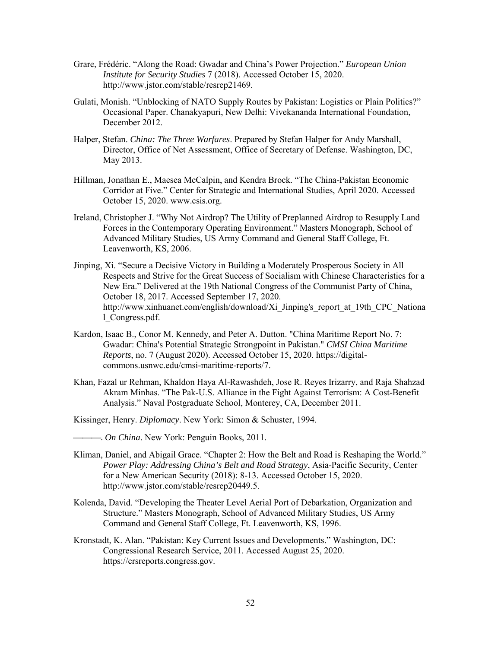- Grare, Frédéric. "Along the Road: Gwadar and China's Power Projection." *European Union Institute for Security Studies* 7 (2018). Accessed October 15, 2020. http://www.jstor.com/stable/resrep21469.
- Gulati, Monish. "Unblocking of NATO Supply Routes by Pakistan: Logistics or Plain Politics?" Occasional Paper. Chanakyapuri, New Delhi: Vivekananda International Foundation, December 2012.
- Halper, Stefan. *China: The Three Warfares*. Prepared by Stefan Halper for Andy Marshall, Director, Office of Net Assessment, Office of Secretary of Defense. Washington, DC, May 2013.
- Hillman, Jonathan E., Maesea McCalpin, and Kendra Brock. "The China-Pakistan Economic Corridor at Five." Center for Strategic and International Studies, April 2020. Accessed October 15, 2020. www.csis.org.
- Ireland, Christopher J. "Why Not Airdrop? The Utility of Preplanned Airdrop to Resupply Land Forces in the Contemporary Operating Environment." Masters Monograph, School of Advanced Military Studies, US Army Command and General Staff College, Ft. Leavenworth, KS, 2006.
- Jinping, Xi. "Secure a Decisive Victory in Building a Moderately Prosperous Society in All Respects and Strive for the Great Success of Socialism with Chinese Characteristics for a New Era." Delivered at the 19th National Congress of the Communist Party of China, October 18, 2017. Accessed September 17, 2020. http://www.xinhuanet.com/english/download/Xi\_Jinping's\_report\_at\_19th\_CPC\_Nationa l\_Congress.pdf.
- Kardon, Isaac B., Conor M. Kennedy, and Peter A. Dutton. "China Maritime Report No. 7: Gwadar: China's Potential Strategic Strongpoint in Pakistan." *CMSI China Maritime Reports*, no. 7 (August 2020). Accessed October 15, 2020. https://digitalcommons.usnwc.edu/cmsi-maritime-reports/7.
- Khan, Fazal ur Rehman, Khaldon Haya Al-Rawashdeh, Jose R. Reyes Irizarry, and Raja Shahzad Akram Minhas. "The Pak-U.S. Alliance in the Fight Against Terrorism: A Cost-Benefit Analysis." Naval Postgraduate School, Monterey, CA, December 2011.
- Kissinger, Henry. *Diplomacy*. New York: Simon & Schuster, 1994.
	- . *On China*. New York: Penguin Books, 2011.
- Kliman, Daniel, and Abigail Grace. "Chapter 2: How the Belt and Road is Reshaping the World." *Power Play: Addressing China's Belt and Road Strategy*, Asia-Pacific Security, Center for a New American Security (2018): 8-13. Accessed October 15, 2020. http://www.jstor.com/stable/resrep20449.5.
- Kolenda, David. "Developing the Theater Level Aerial Port of Debarkation, Organization and Structure." Masters Monograph, School of Advanced Military Studies, US Army Command and General Staff College, Ft. Leavenworth, KS, 1996.
- Kronstadt, K. Alan. "Pakistan: Key Current Issues and Developments." Washington, DC: Congressional Research Service, 2011. Accessed August 25, 2020. [https://crsreports.congress.gov.](https://crsreports.congress.gov/)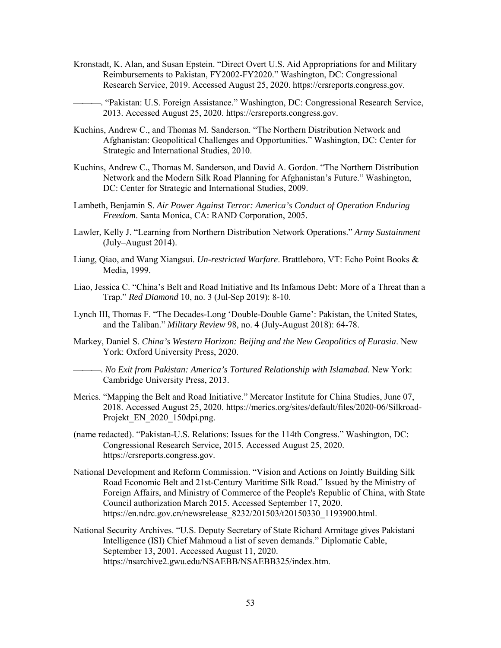- Kronstadt, K. Alan, and Susan Epstein. "Direct Overt U.S. Aid Appropriations for and Military Reimbursements to Pakistan, FY2002-FY2020." Washington, DC: Congressional Research Service, 2019. Accessed August 25, 2020. [https://crsreports.congress.gov.](https://crsreports.congress.gov/)
	- . "Pakistan: U.S. Foreign Assistance." Washington, DC: Congressional Research Service, 2013. Accessed August 25, 2020. [https://crsreports.congress.gov.](https://crsreports.congress.gov/)
- Kuchins, Andrew C., and Thomas M. Sanderson. "The Northern Distribution Network and Afghanistan: Geopolitical Challenges and Opportunities." Washington, DC: Center for Strategic and International Studies, 2010.
- Kuchins, Andrew C., Thomas M. Sanderson, and David A. Gordon. "The Northern Distribution Network and the Modern Silk Road Planning for Afghanistan's Future." Washington, DC: Center for Strategic and International Studies, 2009.
- Lambeth, Benjamin S. *Air Power Against Terror: America's Conduct of Operation Enduring Freedom*. Santa Monica, CA: RAND Corporation, 2005.
- Lawler, Kelly J. "Learning from Northern Distribution Network Operations." *Army Sustainment*  (July–August 2014).
- Liang, Qiao, and Wang Xiangsui. *Un-restricted Warfare*. Brattleboro, VT: Echo Point Books & Media, 1999.
- Liao, Jessica C. "China's Belt and Road Initiative and Its Infamous Debt: More of a Threat than a Trap." *Red Diamond* 10, no. 3 (Jul-Sep 2019): 8-10.
- Lynch III, Thomas F. "The Decades-Long 'Double-Double Game': Pakistan, the United States, and the Taliban." *Military Review* 98, no. 4 (July-August 2018): 64-78.
- Markey, Daniel S. *China's Western Horizon: Beijing and the New Geopolitics of Eurasia*. New York: Oxford University Press, 2020.
	- . *No Exit from Pakistan: America's Tortured Relationship with Islamabad*. New York: Cambridge University Press, 2013.
- Merics. "Mapping the Belt and Road Initiative." Mercator Institute for China Studies, June 07, 2018. Accessed August 25, 2020. https://merics.org/sites/default/files/2020-06/Silkroad-Projekt EN 2020 150dpi.png.
- (name redacted). "Pakistan-U.S. Relations: Issues for the 114th Congress." Washington, DC: Congressional Research Service, 2015. Accessed August 25, 2020. https://crsreports.congress.gov.
- National Development and Reform Commission. "Vision and Actions on Jointly Building Silk Road Economic Belt and 21st-Century Maritime Silk Road." Issued by the Ministry of Foreign Affairs, and Ministry of Commerce of the People's Republic of China, with State Council authorization March 2015. Accessed September 17, 2020. https://en.ndrc.gov.cn/newsrelease\_8232/201503/t20150330\_1193900.html.
- National Security Archives. "U.S. Deputy Secretary of State Richard Armitage gives Pakistani Intelligence (ISI) Chief Mahmoud a list of seven demands." Diplomatic Cable, September 13, 2001. Accessed August 11, 2020. https://nsarchive2.gwu.edu/NSAEBB/NSAEBB325/index.htm.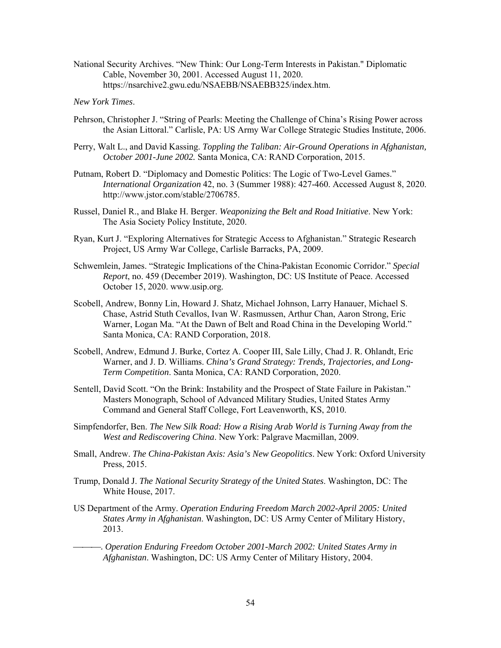National Security Archives. "New Think: Our Long-Term Interests in Pakistan." Diplomatic Cable, November 30, 2001. Accessed August 11, 2020. https://nsarchive2.gwu.edu/NSAEBB/NSAEBB325/index.htm.

#### *New York Times*.

- Pehrson, Christopher J. "String of Pearls: Meeting the Challenge of China's Rising Power across the Asian Littoral." Carlisle, PA: US Army War College Strategic Studies Institute, 2006.
- Perry, Walt L., and David Kassing. *Toppling the Taliban: Air-Ground Operations in Afghanistan, October 2001-June 2002.* Santa Monica, CA: RAND Corporation, 2015.
- Putnam, Robert D. "Diplomacy and Domestic Politics: The Logic of Two-Level Games." *International Organization* 42, no. 3 (Summer 1988): 427-460. Accessed August 8, 2020. http://www.jstor.com/stable/2706785.
- Russel, Daniel R., and Blake H. Berger. *Weaponizing the Belt and Road Initiative*. New York: The Asia Society Policy Institute, 2020.
- Ryan, Kurt J. "Exploring Alternatives for Strategic Access to Afghanistan." Strategic Research Project, US Army War College, Carlisle Barracks, PA, 2009.
- Schwemlein, James. "Strategic Implications of the China-Pakistan Economic Corridor." *Special Report*, no. 459 (December 2019). Washington, DC: US Institute of Peace. Accessed October 15, 2020. www.usip.org.
- Scobell, Andrew, Bonny Lin, Howard J. Shatz, Michael Johnson, Larry Hanauer, Michael S. Chase, Astrid Stuth Cevallos, Ivan W. Rasmussen, Arthur Chan, Aaron Strong, Eric Warner, Logan Ma. "At the Dawn of Belt and Road China in the Developing World." Santa Monica, CA: RAND Corporation, 2018.
- Scobell, Andrew, Edmund J. Burke, Cortez A. Cooper III, Sale Lilly, Chad J. R. Ohlandt, Eric Warner, and J. D. Williams. *China's Grand Strategy: Trends, Trajectories, and Long-Term Competition*. Santa Monica, CA: RAND Corporation, 2020.
- Sentell, David Scott. "On the Brink: Instability and the Prospect of State Failure in Pakistan." Masters Monograph, School of Advanced Military Studies, United States Army Command and General Staff College, Fort Leavenworth, KS, 2010.
- Simpfendorfer, Ben. *The New Silk Road: How a Rising Arab World is Turning Away from the West and Rediscovering China*. New York: Palgrave Macmillan, 2009.
- Small, Andrew. *The China-Pakistan Axis: Asia's New Geopolitics*. New York: Oxford University Press, 2015.
- Trump, Donald J. *The National Security Strategy of the United States*. Washington, DC: The White House, 2017.
- US Department of the Army. *Operation Enduring Freedom March 2002-April 2005: United States Army in Afghanistan*. Washington, DC: US Army Center of Military History, 2013.
- . *Operation Enduring Freedom October 2001-March 2002: United States Army in Afghanistan*. Washington, DC: US Army Center of Military History, 2004.